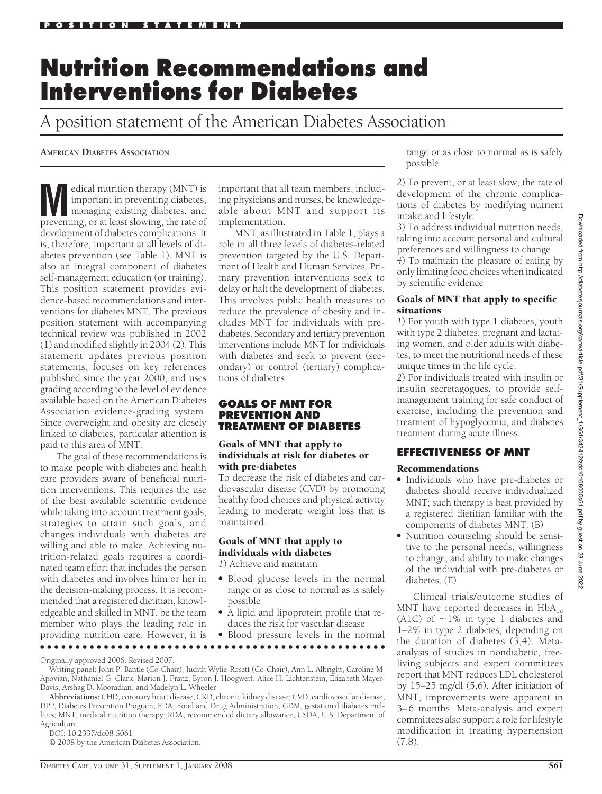# **Nutrition Recommendations and Interventions for Diabetes**

# A position statement of the American Diabetes Association

#### **AMERICAN DIABETES ASSOCIATION**

edical nutrition therapy (MNT) is<br>important in preventing diabetes,<br>managing existing diabetes, and<br>preventing or at least slowing the rate of important in preventing diabetes, **nanaging** existing diabetes, and preventing, or at least slowing, the rate of development of diabetes complications. It is, therefore, important at all levels of diabetes prevention (see Table 1). MNT is also an integral component of diabetes self-management education (or training). This position statement provides evidence-based recommendations and interventions for diabetes MNT. The previous position statement with accompanying technical review was published in 2002 (1) and modified slightly in 2004 (2). This statement updates previous position statements, focuses on key references published since the year 2000, and uses grading according to the level of evidence available based on the American Diabetes Association evidence-grading system. Since overweight and obesity are closely linked to diabetes, particular attention is paid to this area of MNT.

The goal of these recommendations is to make people with diabetes and health care providers aware of beneficial nutrition interventions. This requires the use of the best available scientific evidence while taking into account treatment goals, strategies to attain such goals, and changes individuals with diabetes are willing and able to make. Achieving nutrition-related goals requires a coordinated team effort that includes the person with diabetes and involves him or her in the decision-making process. It is recommended that a registered dietitian, knowledgeable and skilled in MNT, be the team member who plays the leading role in providing nutrition care. However, it is ●●●●●●●●●●●●●●●●●●●●●●●●●●●●●●●●●●●●●●●●●●●●●●●●●

important that all team members, including physicians and nurses, be knowledgeable about MNT and support its implementation.

MNT, as illustrated in Table 1, plays a role in all three levels of diabetes-related prevention targeted by the U.S. Department of Health and Human Services. Primary prevention interventions seek to delay or halt the development of diabetes. This involves public health measures to reduce the prevalence of obesity and includes MNT for individuals with prediabetes. Secondary and tertiary prevention interventions include MNT for individuals with diabetes and seek to prevent (secondary) or control (tertiary) complications of diabetes.

#### **GOALS OF MNT FOR PREVENTION AND TREATMENT OF DIABETES**

#### Goals of MNT that apply to individuals at risk for diabetes or with pre-diabetes

To decrease the risk of diabetes and cardiovascular disease (CVD) by promoting healthy food choices and physical activity leading to moderate weight loss that is maintained.

# Goals of MNT that apply to individuals with diabetes

*1*) Achieve and maintain

- Blood glucose levels in the normal range or as close to normal as is safely possible
- A lipid and lipoprotein profile that reduces the risk for vascular disease
- Blood pressure levels in the normal

Writing panel: John P. Bantle (Co-Chair), Judith Wylie-Rosett (Co-Chair), Ann L. Albright, Caroline M. Apovian, Nathaniel G. Clark, Marion J. Franz, Byron J. Hoogwerf, Alice H. Lichtenstein, Elizabeth Mayer-Davis, Arshag D. Mooradian, and Madelyn L. Wheeler.

**Abbreviations:** CHD, coronary heart disease; CKD, chronic kidney disease; CVD, cardiovascular disease; DPP, Diabetes Prevention Program; FDA, Food and Drug Administration; GDM, gestational diabetes mellitus; MNT, medical nutrition therapy; RDA, recommended dietary allowance; USDA, U.S. Department of Agriculture.

DOI: 10.2337/dc08-S061

Originally approved 2006. Revised 2007.

© 2008 by the American Diabetes Association.

range or as close to normal as is safely possible

*2*) To prevent, or at least slow, the rate of development of the chronic complications of diabetes by modifying nutrient intake and lifestyle

*3*) To address individual nutrition needs, taking into account personal and cultural preferences and willingness to change

*4*) To maintain the pleasure of eating by only limiting food choices when indicated by scientific evidence

#### Goals of MNT that apply to specific situations

*1*) For youth with type 1 diabetes, youth with type 2 diabetes, pregnant and lactating women, and older adults with diabetes, to meet the nutritional needs of these unique times in the life cycle.

*2*) For individuals treated with insulin or insulin secretagogues, to provide selfmanagement training for safe conduct of exercise, including the prevention and treatment of hypoglycemia, and diabetes treatment during acute illness.

# **EFFECTIVENESS OF MNT**

#### Recommendations

- Individuals who have pre-diabetes or diabetes should receive individualized MNT; such therapy is best provided by a registered dietitian familiar with the components of diabetes MNT. (B)
- Nutrition counseling should be sensitive to the personal needs, willingness to change, and ability to make changes of the individual with pre-diabetes or diabetes. (E)

Clinical trials/outcome studies of MNT have reported decreases in  $HbA_{1c}$ (A1C) of  $\sim$ 1% in type 1 diabetes and 1–2% in type 2 diabetes, depending on the duration of diabetes  $(3,4)$ . Metaanalysis of studies in nondiabetic, freeliving subjects and expert committees report that MNT reduces LDL cholesterol by 15–25 mg/dl (5,6). After initiation of MNT, improvements were apparent in 3-6 months. Meta-analysis and expert committees also support a role for lifestyle modification in treating hypertension  $(7,8)$ .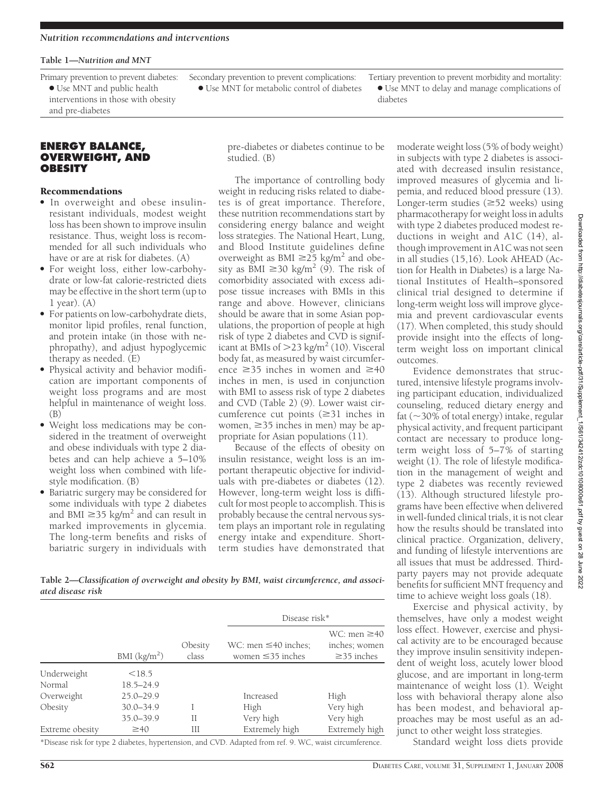#### **Table 1—***Nutrition and MNT*

- - Use MNT and public health interventions in those with obesity and pre-diabetes

#### **ENERGY BALANCE, OVERWEIGHT, AND OBESITY**

#### Recommendations

- In overweight and obese insulinresistant individuals, modest weight loss has been shown to improve insulin resistance. Thus, weight loss is recommended for all such individuals who have or are at risk for diabetes. (A)
- For weight loss, either low-carbohydrate or low-fat calorie-restricted diets may be effective in the short term (up to  $1$  year).  $(A)$
- For patients on low-carbohydrate diets, monitor lipid profiles, renal function, and protein intake (in those with nephropathy), and adjust hypoglycemic therapy as needed. (E)
- Physical activity and behavior modification are important components of weight loss programs and are most helpful in maintenance of weight loss. (B)
- Weight loss medications may be considered in the treatment of overweight and obese individuals with type 2 diabetes and can help achieve a 5–10% weight loss when combined with lifestyle modification. (B)
- Bariatric surgery may be considered for some individuals with type 2 diabetes and BMI  $\geq$ 35 kg/m<sup>2</sup> and can result in marked improvements in glycemia. The long-term benefits and risks of bariatric surgery in individuals with
- Primary prevention to prevent diabetes: Secondary prevention to prevent complications: Tertiary prevention to prevent morbidity and mortality:
	-

● Use MNT for metabolic control of diabetes ● Use MNT to delay and manage complications of diabetes

pre-diabetes or diabetes continue to be studied. (B)

The importance of controlling body weight in reducing risks related to diabetes is of great importance. Therefore, these nutrition recommendations start by considering energy balance and weight loss strategies. The National Heart, Lung, and Blood Institute guidelines define overweight as BMI  $\geq$ 25 kg/m<sup>2</sup> and obesity as  $\text{BMI} \geq 30 \text{ kg/m}^2$  (9). The risk of comorbidity associated with excess adipose tissue increases with BMIs in this range and above. However, clinicians should be aware that in some Asian populations, the proportion of people at high risk of type 2 diabetes and CVD is significant at BMIs of  $>$  23 kg/m<sup>2</sup> (10). Visceral body fat, as measured by waist circumference  $\geq$ 35 inches in women and  $\geq$ 40 inches in men, is used in conjunction with BMI to assess risk of type 2 diabetes and CVD (Table 2) (9). Lower waist circumference cut points  $(\geq 31)$  inches in women,  $\geq$ 35 inches in men) may be appropriate for Asian populations (11).

Because of the effects of obesity on insulin resistance, weight loss is an important therapeutic objective for individuals with pre-diabetes or diabetes (12). However, long-term weight loss is difficult for most people to accomplish. This is probably because the central nervous system plays an important role in regulating energy intake and expenditure. Shortterm studies have demonstrated that moderate weight loss (5% of body weight) in subjects with type 2 diabetes is associated with decreased insulin resistance, improved measures of glycemia and lipemia, and reduced blood pressure (13). Longer-term studies  $(\geq 52$  weeks) using pharmacotherapy for weight loss in adults with type 2 diabetes produced modest reductions in weight and A1C (14), although improvement in A1C was not seen in all studies (15,16). Look AHEAD (Action for Health in Diabetes) is a large National Institutes of Health–sponsored clinical trial designed to determine if long-term weight loss will improve glycemia and prevent cardiovascular events (17). When completed, this study should provide insight into the effects of longterm weight loss on important clinical outcomes.

Evidence demonstrates that structured, intensive lifestyle programs involving participant education, individualized counseling, reduced dietary energy and fat  $(\sim]30\%$  of total energy) intake, regular physical activity, and frequent participant contact are necessary to produce longterm weight loss of 5–7% of starting weight (1). The role of lifestyle modification in the management of weight and type 2 diabetes was recently reviewed (13). Although structured lifestyle programs have been effective when delivered in well-funded clinical trials, it is not clear how the results should be translated into clinical practice. Organization, delivery, and funding of lifestyle interventions are all issues that must be addressed. Thirdparty payers may not provide adequate benefits for sufficient MNT frequency and time to achieve weight loss goals (18).

Exercise and physical activity, by themselves, have only a modest weight loss effect. However, exercise and physical activity are to be encouraged because they improve insulin sensitivity independent of weight loss, acutely lower blood glucose, and are important in long-term maintenance of weight loss (1). Weight loss with behavioral therapy alone also has been modest, and behavioral approaches may be most useful as an adjunct to other weight loss strategies.

Standard weight loss diets provide

**Table 2—***Classification of overweight and obesity by BMI, waist circumference, and associated disease risk*

|                 | BMI (kg/m <sup>2</sup> ) | Obesity<br>class | Disease risk*                                       |                                                        |
|-----------------|--------------------------|------------------|-----------------------------------------------------|--------------------------------------------------------|
|                 |                          |                  | WC: men $\leq 40$ inches;<br>women $\leq$ 35 inches | WC: men $\geq 40$<br>inches; women<br>$\geq$ 35 inches |
| Underweight     | <18.5                    |                  |                                                     |                                                        |
| Normal          | 18.5-24.9                |                  |                                                     |                                                        |
| Overweight      | $25.0 - 29.9$            |                  | Increased                                           | High                                                   |
| Obesity         | $30.0 - 34.9$            |                  | High                                                | Very high                                              |
|                 | 35.0-39.9                | $_{\rm II}$      | Very high                                           | Very high                                              |
| Extreme obesity | $\geq 40$                | Ш                | Extremely high                                      | Extremely high                                         |

\*Disease risk for type 2 diabetes, hypertension, and CVD. Adapted from ref. 9. WC, waist circumference.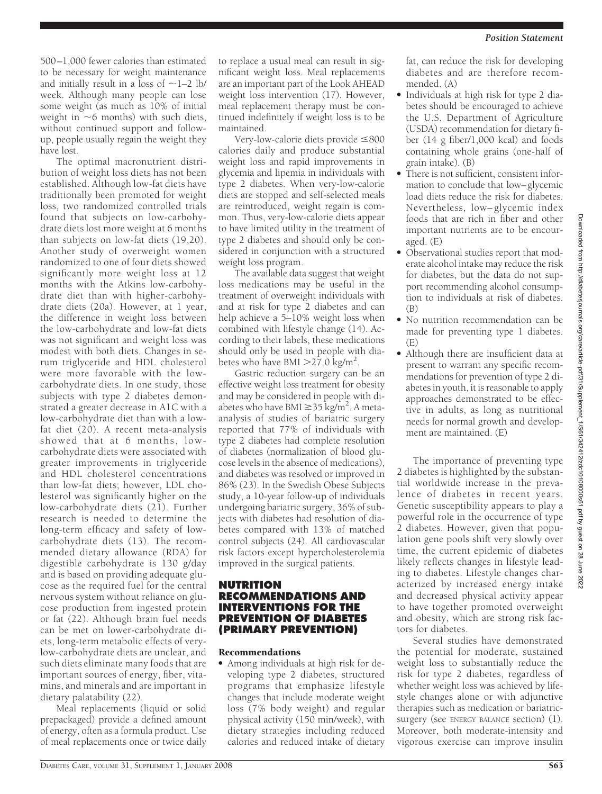500 –1,000 fewer calories than estimated to be necessary for weight maintenance and initially result in a loss of  $\sim$  1–2 lb/ week. Although many people can lose some weight (as much as 10% of initial weight in  $\sim$  6 months) with such diets, without continued support and followup, people usually regain the weight they have lost.

The optimal macronutrient distribution of weight loss diets has not been established. Although low-fat diets have traditionally been promoted for weight loss, two randomized controlled trials found that subjects on low-carbohydrate diets lost more weight at 6 months than subjects on low-fat diets (19,20). Another study of overweight women randomized to one of four diets showed significantly more weight loss at 12 months with the Atkins low-carbohydrate diet than with higher-carbohydrate diets (20a). However, at 1 year, the difference in weight loss between the low-carbohydrate and low-fat diets was not significant and weight loss was modest with both diets. Changes in serum triglyceride and HDL cholesterol were more favorable with the lowcarbohydrate diets. In one study, those subjects with type 2 diabetes demonstrated a greater decrease in A1C with a low-carbohydrate diet than with a lowfat diet (20). A recent meta-analysis showed that at 6 months, lowcarbohydrate diets were associated with greater improvements in triglyceride and HDL cholesterol concentrations than low-fat diets; however, LDL cholesterol was significantly higher on the low-carbohydrate diets (21). Further research is needed to determine the long-term efficacy and safety of lowcarbohydrate diets (13). The recommended dietary allowance (RDA) for digestible carbohydrate is 130 g/day and is based on providing adequate glucose as the required fuel for the central nervous system without reliance on glucose production from ingested protein or fat (22). Although brain fuel needs can be met on lower-carbohydrate diets, long-term metabolic effects of verylow-carbohydrate diets are unclear, and such diets eliminate many foods that are important sources of energy, fiber, vitamins, and minerals and are important in dietary palatability (22).

Meal replacements (liquid or solid prepackaged) provide a defined amount of energy, often as a formula product. Use of meal replacements once or twice daily to replace a usual meal can result in significant weight loss. Meal replacements are an important part of the Look AHEAD weight loss intervention (17). However, meal replacement therapy must be continued indefinitely if weight loss is to be maintained.

Very-low-calorie diets provide ≤800 calories daily and produce substantial weight loss and rapid improvements in glycemia and lipemia in individuals with type 2 diabetes. When very-low-calorie diets are stopped and self-selected meals are reintroduced, weight regain is common. Thus, very-low-calorie diets appear to have limited utility in the treatment of type 2 diabetes and should only be considered in conjunction with a structured weight loss program.

The available data suggest that weight loss medications may be useful in the treatment of overweight individuals with and at risk for type 2 diabetes and can help achieve a 5–10% weight loss when combined with lifestyle change (14). According to their labels, these medications should only be used in people with diabetes who have BMI  $>$ 27.0 kg/m<sup>2</sup>.

Gastric reduction surgery can be an effective weight loss treatment for obesity and may be considered in people with diabetes who have BMI  $\geq$ 35 kg/m<sup>2</sup>. A metaanalysis of studies of bariatric surgery reported that 77% of individuals with type 2 diabetes had complete resolution of diabetes (normalization of blood glucose levels in the absence of medications), and diabetes was resolved or improved in 86% (23). In the Swedish Obese Subjects study, a 10-year follow-up of individuals undergoing bariatric surgery, 36% of subjects with diabetes had resolution of diabetes compared with 13% of matched control subjects (24). All cardiovascular risk factors except hypercholesterolemia improved in the surgical patients.

#### **NUTRITION RECOMMENDATIONS AND INTERVENTIONS FOR THE PREVENTION OF DIABETES (PRIMARY PREVENTION)**

#### Recommendations

● Among individuals at high risk for developing type 2 diabetes, structured programs that emphasize lifestyle changes that include moderate weight loss (7% body weight) and regular physical activity (150 min/week), with dietary strategies including reduced calories and reduced intake of dietary

fat, can reduce the risk for developing diabetes and are therefore recommended. (A)

- Individuals at high risk for type 2 diabetes should be encouraged to achieve the U.S. Department of Agriculture (USDA) recommendation for dietary fiber (14 g fiber/1,000 kcal) and foods containing whole grains (one-half of grain intake). (B)
- There is not sufficient, consistent information to conclude that low– glycemic load diets reduce the risk for diabetes. Nevertheless, low– glycemic index foods that are rich in fiber and other important nutrients are to be encouraged. (E)
- Observational studies report that moderate alcohol intake may reduce the risk for diabetes, but the data do not support recommending alcohol consumption to individuals at risk of diabetes. (B)
- No nutrition recommendation can be made for preventing type 1 diabetes. (E)
- Although there are insufficient data at present to warrant any specific recommendations for prevention of type 2 diabetes in youth, it is reasonable to apply approaches demonstrated to be effective in adults, as long as nutritional needs for normal growth and development are maintained. (E)

The importance of preventing type 2 diabetes is highlighted by the substantial worldwide increase in the prevalence of diabetes in recent years. Genetic susceptibility appears to play a powerful role in the occurrence of type 2 diabetes. However, given that population gene pools shift very slowly over time, the current epidemic of diabetes likely reflects changes in lifestyle leading to diabetes. Lifestyle changes characterized by increased energy intake and decreased physical activity appear to have together promoted overweight and obesity, which are strong risk factors for diabetes.

Several studies have demonstrated the potential for moderate, sustained weight loss to substantially reduce the risk for type 2 diabetes, regardless of whether weight loss was achieved by lifestyle changes alone or with adjunctive therapies such as medication or bariatricsurgery (see ENERGY BALANCE section) (1). Moreover, both moderate-intensity and vigorous exercise can improve insulin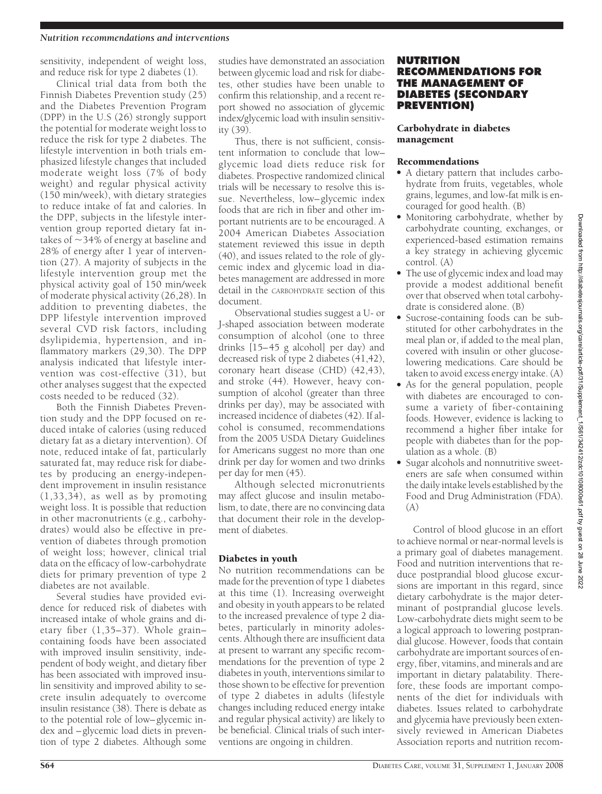sensitivity, independent of weight loss, and reduce risk for type 2 diabetes (1).

Clinical trial data from both the Finnish Diabetes Prevention study (25) and the Diabetes Prevention Program (DPP) in the U.S (26) strongly support the potential for moderate weight loss to reduce the risk for type 2 diabetes. The lifestyle intervention in both trials emphasized lifestyle changes that included moderate weight loss (7% of body weight) and regular physical activity (150 min/week), with dietary strategies to reduce intake of fat and calories. In the DPP, subjects in the lifestyle intervention group reported dietary fat intakes of  $\sim$ 34% of energy at baseline and 28% of energy after 1 year of intervention (27). A majority of subjects in the lifestyle intervention group met the physical activity goal of 150 min/week of moderate physical activity (26,28). In addition to preventing diabetes, the DPP lifestyle intervention improved several CVD risk factors, including dsylipidemia, hypertension, and inflammatory markers (29,30). The DPP analysis indicated that lifestyle intervention was cost-effective (31), but other analyses suggest that the expected costs needed to be reduced (32).

Both the Finnish Diabetes Prevention study and the DPP focused on reduced intake of calories (using reduced dietary fat as a dietary intervention). Of note, reduced intake of fat, particularly saturated fat, may reduce risk for diabetes by producing an energy-independent improvement in insulin resistance (1,33,34), as well as by promoting weight loss. It is possible that reduction in other macronutrients (e.g., carbohydrates) would also be effective in prevention of diabetes through promotion of weight loss; however, clinical trial data on the efficacy of low-carbohydrate diets for primary prevention of type 2 diabetes are not available.

Several studies have provided evidence for reduced risk of diabetes with increased intake of whole grains and dietary fiber (1,35–37). Whole grain– containing foods have been associated with improved insulin sensitivity, independent of body weight, and dietary fiber has been associated with improved insulin sensitivity and improved ability to secrete insulin adequately to overcome insulin resistance (38). There is debate as to the potential role of low– glycemic index and – glycemic load diets in prevention of type 2 diabetes. Although some

studies have demonstrated an association between glycemic load and risk for diabetes, other studies have been unable to confirm this relationship, and a recent report showed no association of glycemic index/glycemic load with insulin sensitivity (39).

Thus, there is not sufficient, consistent information to conclude that low– glycemic load diets reduce risk for diabetes. Prospective randomized clinical trials will be necessary to resolve this issue. Nevertheless, low– glycemic index foods that are rich in fiber and other important nutrients are to be encouraged. A 2004 American Diabetes Association statement reviewed this issue in depth (40), and issues related to the role of glycemic index and glycemic load in diabetes management are addressed in more detail in the CARBOHYDRATE section of this document.

Observational studies suggest a U- or J-shaped association between moderate consumption of alcohol (one to three drinks [15– 45 g alcohol] per day) and decreased risk of type 2 diabetes (41,42), coronary heart disease (CHD) (42,43), and stroke (44). However, heavy consumption of alcohol (greater than three drinks per day), may be associated with increased incidence of diabetes (42). If alcohol is consumed, recommendations from the 2005 USDA Dietary Guidelines for Americans suggest no more than one drink per day for women and two drinks per day for men (45).

Although selected micronutrients may affect glucose and insulin metabolism, to date, there are no convincing data that document their role in the development of diabetes.

# Diabetes in youth

No nutrition recommendations can be made for the prevention of type 1 diabetes at this time (1). Increasing overweight and obesity in youth appears to be related to the increased prevalence of type 2 diabetes, particularly in minority adolescents. Although there are insufficient data at present to warrant any specific recommendations for the prevention of type 2 diabetes in youth, interventions similar to those shown to be effective for prevention of type 2 diabetes in adults (lifestyle changes including reduced energy intake and regular physical activity) are likely to be beneficial. Clinical trials of such interventions are ongoing in children.

#### **NUTRITION RECOMMENDATIONS FOR THE MANAGEMENT OF DIABETES (SECONDARY PREVENTION)**

#### Carbohydrate in diabetes management

#### Recommendations

- A dietary pattern that includes carbohydrate from fruits, vegetables, whole grains, legumes, and low-fat milk is encouraged for good health. (B)
- Monitoring carbohydrate, whether by carbohydrate counting, exchanges, or experienced-based estimation remains a key strategy in achieving glycemic control. (A)
- The use of glycemic index and load may provide a modest additional benefit over that observed when total carbohydrate is considered alone. (B)
- Sucrose-containing foods can be substituted for other carbohydrates in the meal plan or, if added to the meal plan, covered with insulin or other glucoselowering medications. Care should be taken to avoid excess energy intake. (A)
- As for the general population, people with diabetes are encouraged to consume a variety of fiber-containing foods. However, evidence is lacking to recommend a higher fiber intake for people with diabetes than for the population as a whole. (B)
- Sugar alcohols and nonnutritive sweeteners are safe when consumed within the daily intake levels established by the Food and Drug Administration (FDA).  $(A)$

Control of blood glucose in an effort to achieve normal or near-normal levels is a primary goal of diabetes management. Food and nutrition interventions that reduce postprandial blood glucose excursions are important in this regard, since dietary carbohydrate is the major determinant of postprandial glucose levels. Low-carbohydrate diets might seem to be a logical approach to lowering postprandial glucose. However, foods that contain carbohydrate are important sources of energy, fiber, vitamins, and minerals and are important in dietary palatability. Therefore, these foods are important components of the diet for individuals with diabetes. Issues related to carbohydrate and glycemia have previously been extensively reviewed in American Diabetes Association reports and nutrition recom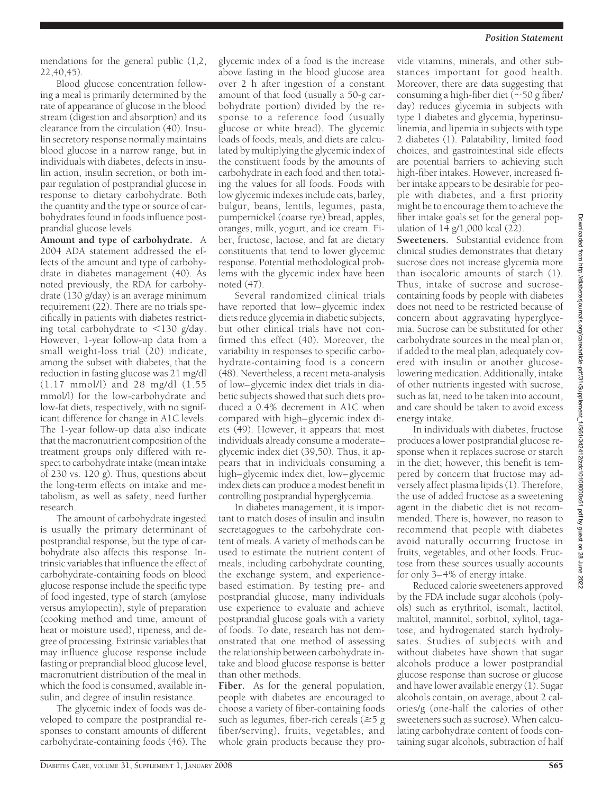mendations for the general public (1,2, 22,40,45).

Blood glucose concentration following a meal is primarily determined by the rate of appearance of glucose in the blood stream (digestion and absorption) and its clearance from the circulation (40). Insulin secretory response normally maintains blood glucose in a narrow range, but in individuals with diabetes, defects in insulin action, insulin secretion, or both impair regulation of postprandial glucose in response to dietary carbohydrate. Both the quantity and the type or source of carbohydrates found in foods influence postprandial glucose levels.

**Amount and type of carbohydrate.** A 2004 ADA statement addressed the effects of the amount and type of carbohydrate in diabetes management (40). As noted previously, the RDA for carbohydrate (130 g/day) is an average minimum requirement (22). There are no trials specifically in patients with diabetes restricting total carbohydrate to  $\lt$ 130 g/day. However, 1-year follow-up data from a small weight-loss trial (20) indicate, among the subset with diabetes, that the reduction in fasting glucose was 21 mg/dl (1.17 mmol/l) and 28 mg/dl (1.55 mmol/l) for the low-carbohydrate and low-fat diets, respectively, with no significant difference for change in A1C levels. The 1-year follow-up data also indicate that the macronutrient composition of the treatment groups only differed with respect to carbohydrate intake (mean intake of 230 vs. 120 g). Thus, questions about the long-term effects on intake and metabolism, as well as safety, need further research.

The amount of carbohydrate ingested is usually the primary determinant of postprandial response, but the type of carbohydrate also affects this response. Intrinsic variables that influence the effect of carbohydrate-containing foods on blood glucose response include the specific type of food ingested, type of starch (amylose versus amylopectin), style of preparation (cooking method and time, amount of heat or moisture used), ripeness, and degree of processing. Extrinsic variables that may influence glucose response include fasting or preprandial blood glucose level, macronutrient distribution of the meal in which the food is consumed, available insulin, and degree of insulin resistance.

The glycemic index of foods was developed to compare the postprandial responses to constant amounts of different carbohydrate-containing foods (46). The

glycemic index of a food is the increase above fasting in the blood glucose area over 2 h after ingestion of a constant amount of that food (usually a 50-g carbohydrate portion) divided by the response to a reference food (usually glucose or white bread). The glycemic loads of foods, meals, and diets are calculated by multiplying the glycemic index of the constituent foods by the amounts of carbohydrate in each food and then totaling the values for all foods. Foods with low glycemic indexes include oats, barley, bulgur, beans, lentils, legumes, pasta, pumpernickel (coarse rye) bread, apples, oranges, milk, yogurt, and ice cream. Fiber, fructose, lactose, and fat are dietary constituents that tend to lower glycemic response. Potential methodological problems with the glycemic index have been noted (47).

Several randomized clinical trials have reported that low– glycemic index diets reduce glycemia in diabetic subjects, but other clinical trials have not confirmed this effect (40). Moreover, the variability in responses to specific carbohydrate-containing food is a concern (48). Nevertheless, a recent meta-analysis of low– glycemic index diet trials in diabetic subjects showed that such diets produced a 0.4% decrement in A1C when compared with high– glycemic index diets (49). However, it appears that most individuals already consume a moderate– glycemic index diet (39,50). Thus, it appears that in individuals consuming a high– glycemic index diet, low– glycemic index diets can produce a modest benefit in controlling postprandial hyperglycemia.

In diabetes management, it is important to match doses of insulin and insulin secretagogues to the carbohydrate content of meals. A variety of methods can be used to estimate the nutrient content of meals, including carbohydrate counting, the exchange system, and experiencebased estimation. By testing pre- and postprandial glucose, many individuals use experience to evaluate and achieve postprandial glucose goals with a variety of foods. To date, research has not demonstrated that one method of assessing the relationship between carbohydrate intake and blood glucose response is better than other methods.

**Fiber.** As for the general population, people with diabetes are encouraged to choose a variety of fiber-containing foods such as legumes, fiber-rich cereals  $(\geq 5$  g fiber/serving), fruits, vegetables, and whole grain products because they provide vitamins, minerals, and other substances important for good health. Moreover, there are data suggesting that consuming a high-fiber diet  $(\sim 50 \text{ g fiber/})$ day) reduces glycemia in subjects with type 1 diabetes and glycemia, hyperinsulinemia, and lipemia in subjects with type 2 diabetes (1). Palatability, limited food choices, and gastrointestinal side effects are potential barriers to achieving such high-fiber intakes. However, increased fiber intake appears to be desirable for people with diabetes, and a first priority might be to encourage them to achieve the fiber intake goals set for the general population of 14 g/1,000 kcal (22).

**Sweeteners.** Substantial evidence from clinical studies demonstrates that dietary sucrose does not increase glycemia more than isocaloric amounts of starch (1). Thus, intake of sucrose and sucrosecontaining foods by people with diabetes does not need to be restricted because of concern about aggravating hyperglycemia. Sucrose can be substituted for other carbohydrate sources in the meal plan or, if added to the meal plan, adequately covered with insulin or another glucoselowering medication. Additionally, intake of other nutrients ingested with sucrose, such as fat, need to be taken into account, and care should be taken to avoid excess energy intake.

In individuals with diabetes, fructose produces a lower postprandial glucose response when it replaces sucrose or starch in the diet; however, this benefit is tempered by concern that fructose may adversely affect plasma lipids (1). Therefore, the use of added fructose as a sweetening agent in the diabetic diet is not recommended. There is, however, no reason to recommend that people with diabetes avoid naturally occurring fructose in fruits, vegetables, and other foods. Fructose from these sources usually accounts for only 3– 4% of energy intake.

Reduced calorie sweeteners approved by the FDA include sugar alcohols (polyols) such as erythritol, isomalt, lactitol, maltitol, mannitol, sorbitol, xylitol, tagatose, and hydrogenated starch hydrolysates. Studies of subjects with and without diabetes have shown that sugar alcohols produce a lower postprandial glucose response than sucrose or glucose and have lower available energy (1). Sugar alcohols contain, on average, about 2 calories/g (one-half the calories of other sweeteners such as sucrose). When calculating carbohydrate content of foods containing sugar alcohols, subtraction of half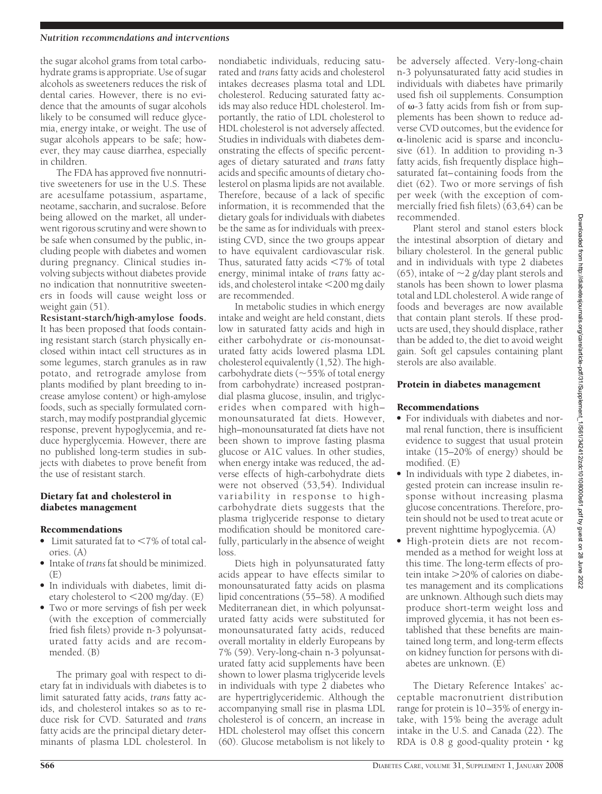the sugar alcohol grams from total carbohydrate grams is appropriate. Use of sugar alcohols as sweeteners reduces the risk of dental caries. However, there is no evidence that the amounts of sugar alcohols likely to be consumed will reduce glycemia, energy intake, or weight. The use of sugar alcohols appears to be safe; however, they may cause diarrhea, especially in children.

The FDA has approved five nonnutritive sweeteners for use in the U.S. These are acesulfame potassium, aspartame, neotame, saccharin, and sucralose. Before being allowed on the market, all underwent rigorous scrutiny and were shown to be safe when consumed by the public, including people with diabetes and women during pregnancy. Clinical studies involving subjects without diabetes provide no indication that nonnutritive sweeteners in foods will cause weight loss or weight gain (51).

**Resistant-starch/high-amylose foods.** It has been proposed that foods containing resistant starch (starch physically enclosed within intact cell structures as in some legumes, starch granules as in raw potato, and retrograde amylose from plants modified by plant breeding to increase amylose content) or high-amylose foods, such as specially formulated cornstarch, may modify postprandial glycemic response, prevent hypoglycemia, and reduce hyperglycemia. However, there are no published long-term studies in subjects with diabetes to prove benefit from the use of resistant starch.

#### Dietary fat and cholesterol in diabetes management

#### Recommendations

- Limit saturated fat to  $< 7\%$  of total calories. (A)
- Intake of *trans* fat should be minimized.  $(F)$
- In individuals with diabetes, limit dietary cholesterol to  $\leq$ 200 mg/day. (E)
- Two or more servings of fish per week (with the exception of commercially fried fish filets) provide n-3 polyunsaturated fatty acids and are recommended. (B)

The primary goal with respect to dietary fat in individuals with diabetes is to limit saturated fatty acids, *trans* fatty acids, and cholesterol intakes so as to reduce risk for CVD. Saturated and *trans* fatty acids are the principal dietary determinants of plasma LDL cholesterol. In

nondiabetic individuals, reducing saturated and *trans* fatty acids and cholesterol intakes decreases plasma total and LDL cholesterol. Reducing saturated fatty acids may also reduce HDL cholesterol. Importantly, the ratio of LDL cholesterol to HDL cholesterol is not adversely affected. Studies in individuals with diabetes demonstrating the effects of specific percentages of dietary saturated and *trans* fatty acids and specific amounts of dietary cholesterol on plasma lipids are not available. Therefore, because of a lack of specific information, it is recommended that the dietary goals for individuals with diabetes be the same as for individuals with preexisting CVD, since the two groups appear to have equivalent cardiovascular risk. Thus, saturated fatty acids  $\leq 7\%$  of total energy, minimal intake of *trans* fatty acids, and cholesterol intake 200 mg daily are recommended.

In metabolic studies in which energy intake and weight are held constant, diets low in saturated fatty acids and high in either carbohydrate or *cis-*monounsaturated fatty acids lowered plasma LDL cholesterol equivalently (1,52). The highcarbohydrate diets ( $\sim$ 55% of total energy from carbohydrate) increased postprandial plasma glucose, insulin, and triglycerides when compared with high– monounsaturated fat diets. However, high–monounsaturated fat diets have not been shown to improve fasting plasma glucose or A1C values. In other studies, when energy intake was reduced, the adverse effects of high-carbohydrate diets were not observed (53,54). Individual variability in response to highcarbohydrate diets suggests that the plasma triglyceride response to dietary modification should be monitored carefully, particularly in the absence of weight loss.

Diets high in polyunsaturated fatty acids appear to have effects similar to monounsaturated fatty acids on plasma lipid concentrations (55–58). A modified Mediterranean diet, in which polyunsaturated fatty acids were substituted for monounsaturated fatty acids, reduced overall mortality in elderly Europeans by 7% (59). Very-long-chain n-3 polyunsaturated fatty acid supplements have been shown to lower plasma triglyceride levels in individuals with type 2 diabetes who are hypertriglyceridemic. Although the accompanying small rise in plasma LDL cholesterol is of concern, an increase in HDL cholesterol may offset this concern (60). Glucose metabolism is not likely to

be adversely affected. Very-long-chain n-3 polyunsaturated fatty acid studies in individuals with diabetes have primarily used fish oil supplements. Consumption of  $\omega$ -3 fatty acids from fish or from supplements has been shown to reduce adverse CVD outcomes, but the evidence for  $\alpha$ -linolenic acid is sparse and inconclusive (61). In addition to providing n-3 fatty acids, fish frequently displace high– saturated fat– containing foods from the diet (62). Two or more servings of fish per week (with the exception of commercially fried fish filets)  $(63,64)$  can be recommended.

Plant sterol and stanol esters block the intestinal absorption of dietary and biliary cholesterol. In the general public and in individuals with type 2 diabetes (65), intake of  $\sim$ 2 g/day plant sterols and stanols has been shown to lower plasma total and LDL cholesterol. A wide range of foods and beverages are now available that contain plant sterols. If these products are used, they should displace, rather than be added to, the diet to avoid weight gain. Soft gel capsules containing plant sterols are also available.

#### Protein in diabetes management

#### Recommendations

- For individuals with diabetes and normal renal function, there is insufficient evidence to suggest that usual protein intake (15–20% of energy) should be modified. (E)
- In individuals with type 2 diabetes, ingested protein can increase insulin response without increasing plasma glucose concentrations. Therefore, protein should not be used to treat acute or prevent nighttime hypoglycemia. (A)
- High-protein diets are not recommended as a method for weight loss at this time. The long-term effects of protein intake >20% of calories on diabetes management and its complications are unknown. Although such diets may produce short-term weight loss and improved glycemia, it has not been established that these benefits are maintained long term, and long-term effects on kidney function for persons with diabetes are unknown. (E)

The Dietary Reference Intakes' acceptable macronutrient distribution range for protein is 10 –35% of energy intake, with 15% being the average adult intake in the U.S. and Canada (22). The RDA is 0.8 g good-quality protein - kg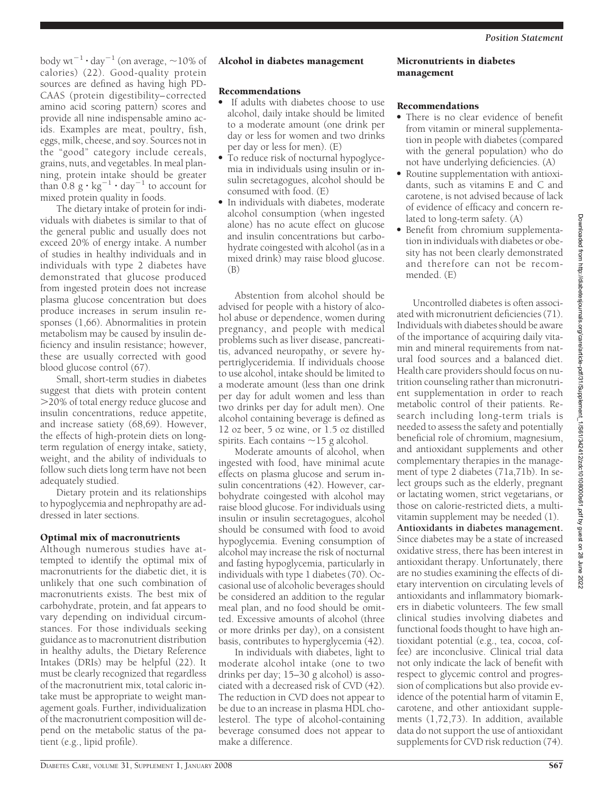body wt $^{-1}$   $\cdot$  day $^{-1}$  (on average,  $\sim$ 10% of calories) (22). Good-quality protein sources are defined as having high PD-CAAS (protein digestibility– corrected amino acid scoring pattern) scores and provide all nine indispensable amino acids. Examples are meat, poultry, fish, eggs, milk, cheese, and soy. Sources not in the "good" category include cereals, grains, nuts, and vegetables. In meal planning, protein intake should be greater than  $0.8 \text{ g} \cdot \text{kg}^{-1} \cdot \text{day}^{-1}$  to account for mixed protein quality in foods.

The dietary intake of protein for individuals with diabetes is similar to that of the general public and usually does not exceed 20% of energy intake. A number of studies in healthy individuals and in individuals with type 2 diabetes have demonstrated that glucose produced from ingested protein does not increase plasma glucose concentration but does produce increases in serum insulin responses (1,66). Abnormalities in protein metabolism may be caused by insulin deficiency and insulin resistance; however, these are usually corrected with good blood glucose control (67).

Small, short-term studies in diabetes suggest that diets with protein content -20% of total energy reduce glucose and insulin concentrations, reduce appetite, and increase satiety (68,69). However, the effects of high-protein diets on longterm regulation of energy intake, satiety, weight, and the ability of individuals to follow such diets long term have not been adequately studied.

Dietary protein and its relationships to hypoglycemia and nephropathy are addressed in later sections.

# Optimal mix of macronutrients

Although numerous studies have attempted to identify the optimal mix of macronutrients for the diabetic diet, it is unlikely that one such combination of macronutrients exists. The best mix of carbohydrate, protein, and fat appears to vary depending on individual circumstances. For those individuals seeking guidance as to macronutrient distribution in healthy adults, the Dietary Reference Intakes (DRIs) may be helpful (22). It must be clearly recognized that regardless of the macronutrient mix, total caloric intake must be appropriate to weight management goals. Further, individualization of the macronutrient composition will depend on the metabolic status of the patient (e.g., lipid profile).

# Alcohol in diabetes management

# Recommendations

- If adults with diabetes choose to use alcohol, daily intake should be limited to a moderate amount (one drink per day or less for women and two drinks per day or less for men). (E)
- To reduce risk of nocturnal hypoglycemia in individuals using insulin or insulin secretagogues, alcohol should be consumed with food. (E)
- In individuals with diabetes, moderate alcohol consumption (when ingested alone) has no acute effect on glucose and insulin concentrations but carbohydrate coingested with alcohol (as in a mixed drink) may raise blood glucose. (B)

Abstention from alcohol should be advised for people with a history of alcohol abuse or dependence, women during pregnancy, and people with medical problems such as liver disease, pancreatitis, advanced neuropathy, or severe hypertriglyceridemia. If individuals choose to use alcohol, intake should be limited to a moderate amount (less than one drink per day for adult women and less than two drinks per day for adult men). One alcohol containing beverage is defined as 12 oz beer, 5 oz wine, or 1.5 oz distilled spirits. Each contains  $\sim$  15 g alcohol.

Moderate amounts of alcohol, when ingested with food, have minimal acute effects on plasma glucose and serum insulin concentrations (42). However, carbohydrate coingested with alcohol may raise blood glucose. For individuals using insulin or insulin secretagogues, alcohol should be consumed with food to avoid hypoglycemia. Evening consumption of alcohol may increase the risk of nocturnal and fasting hypoglycemia, particularly in individuals with type 1 diabetes (70). Occasional use of alcoholic beverages should be considered an addition to the regular meal plan, and no food should be omitted. Excessive amounts of alcohol (three or more drinks per day), on a consistent basis, contributes to hyperglycemia (42).

In individuals with diabetes, light to moderate alcohol intake (one to two drinks per day; 15–30 g alcohol) is associated with a decreased risk of CVD (42). The reduction in CVD does not appear to be due to an increase in plasma HDL cholesterol. The type of alcohol-containing beverage consumed does not appear to make a difference.

#### Micronutrients in diabetes management

# Recommendations

- There is no clear evidence of benefit from vitamin or mineral supplementation in people with diabetes (compared with the general population) who do not have underlying deficiencies. (A)
- Routine supplementation with antioxidants, such as vitamins E and C and carotene, is not advised because of lack of evidence of efficacy and concern related to long-term safety. (A)
- Benefit from chromium supplementation in individuals with diabetes or obesity has not been clearly demonstrated and therefore can not be recommended. (E)

Uncontrolled diabetes is often associ-

ated with micronutrient deficiencies (71). Individuals with diabetes should be aware of the importance of acquiring daily vitamin and mineral requirements from natural food sources and a balanced diet. Health care providers should focus on nutrition counseling rather than micronutrient supplementation in order to reach metabolic control of their patients. Research including long-term trials is needed to assess the safety and potentially beneficial role of chromium, magnesium, and antioxidant supplements and other complementary therapies in the management of type 2 diabetes (71a,71b). In select groups such as the elderly, pregnant or lactating women, strict vegetarians, or those on calorie-restricted diets, a multivitamin supplement may be needed (1). **Antioxidants in diabetes management.** Since diabetes may be a state of increased oxidative stress, there has been interest in antioxidant therapy. Unfortunately, there are no studies examining the effects of dietary intervention on circulating levels of antioxidants and inflammatory biomarkers in diabetic volunteers. The few small clinical studies involving diabetes and functional foods thought to have high antioxidant potential (e.g., tea, cocoa, coffee) are inconclusive. Clinical trial data not only indicate the lack of benefit with respect to glycemic control and progression of complications but also provide evidence of the potential harm of vitamin E, carotene, and other antioxidant supplements (1,72,73). In addition, available data do not support the use of antioxidant supplements for CVD risk reduction (74).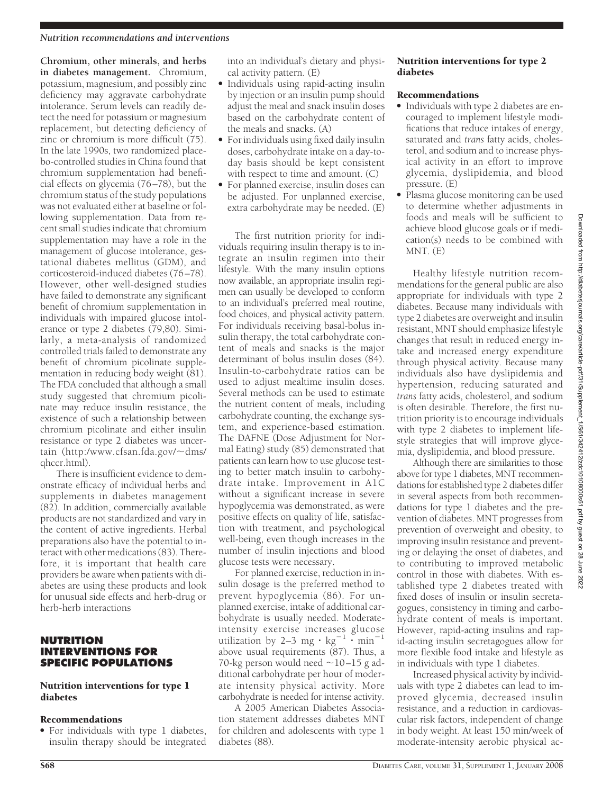**Chromium, other minerals, and herbs in diabetes management.** Chromium, potassium, magnesium, and possibly zinc deficiency may aggravate carbohydrate intolerance. Serum levels can readily detect the need for potassium or magnesium replacement, but detecting deficiency of zinc or chromium is more difficult (75). In the late 1990s, two randomized placebo-controlled studies in China found that chromium supplementation had beneficial effects on glycemia (76 –78), but the chromium status of the study populations was not evaluated either at baseline or following supplementation. Data from recent small studies indicate that chromium supplementation may have a role in the management of glucose intolerance, gestational diabetes mellitus (GDM), and corticosteroid-induced diabetes (76 –78). However, other well-designed studies have failed to demonstrate any significant benefit of chromium supplementation in individuals with impaired glucose intolerance or type 2 diabetes (79,80). Similarly, a meta-analysis of randomized controlled trials failed to demonstrate any benefit of chromium picolinate supplementation in reducing body weight (81). The FDA concluded that although a small study suggested that chromium picolinate may reduce insulin resistance, the existence of such a relationship between chromium picolinate and either insulin resistance or type 2 diabetes was uncertain (http:/www.cfsan.fda.gov/~dms/ qhccr.html).

There is insufficient evidence to demonstrate efficacy of individual herbs and supplements in diabetes management (82). In addition, commercially available products are not standardized and vary in the content of active ingredients. Herbal preparations also have the potential to interact with other medications (83). Therefore, it is important that health care providers be aware when patients with diabetes are using these products and look for unusual side effects and herb-drug or herb-herb interactions

#### **NUTRITION INTERVENTIONS FOR SPECIFIC POPULATIONS**

#### Nutrition interventions for type 1 diabetes

#### Recommendations

● For individuals with type 1 diabetes, insulin therapy should be integrated

into an individual's dietary and physical activity pattern. (E)

- Individuals using rapid-acting insulin by injection or an insulin pump should adjust the meal and snack insulin doses based on the carbohydrate content of the meals and snacks. (A)
- For individuals using fixed daily insulin doses, carbohydrate intake on a day-today basis should be kept consistent with respect to time and amount. (C)
- For planned exercise, insulin doses can be adjusted. For unplanned exercise, extra carbohydrate may be needed. (E)

The first nutrition priority for individuals requiring insulin therapy is to integrate an insulin regimen into their lifestyle. With the many insulin options now available, an appropriate insulin regimen can usually be developed to conform to an individual's preferred meal routine, food choices, and physical activity pattern. For individuals receiving basal-bolus insulin therapy, the total carbohydrate content of meals and snacks is the major determinant of bolus insulin doses (84). Insulin-to-carbohydrate ratios can be used to adjust mealtime insulin doses. Several methods can be used to estimate the nutrient content of meals, including carbohydrate counting, the exchange system, and experience-based estimation. The DAFNE (Dose Adjustment for Normal Eating) study (85) demonstrated that patients can learn how to use glucose testing to better match insulin to carbohydrate intake. Improvement in A1C without a significant increase in severe hypoglycemia was demonstrated, as were positive effects on quality of life, satisfaction with treatment, and psychological well-being, even though increases in the number of insulin injections and blood glucose tests were necessary.

For planned exercise, reduction in insulin dosage is the preferred method to prevent hypoglycemia (86). For unplanned exercise, intake of additional carbohydrate is usually needed. Moderateintensity exercise increases glucose utilization by 2–3 mg  $\cdot$  kg<sup>-1</sup>  $\cdot$  min<sup>-1</sup> above usual requirements (87). Thus, a 70-kg person would need  $\sim$  10–15 g additional carbohydrate per hour of moderate intensity physical activity. More carbohydrate is needed for intense activity.

A 2005 American Diabetes Association statement addresses diabetes MNT for children and adolescents with type 1 diabetes (88).

#### Nutrition interventions for type 2 diabetes

#### Recommendations

- Individuals with type 2 diabetes are encouraged to implement lifestyle modifications that reduce intakes of energy, saturated and *trans* fatty acids, cholesterol, and sodium and to increase physical activity in an effort to improve glycemia, dyslipidemia, and blood pressure. (E)
- Plasma glucose monitoring can be used to determine whether adjustments in foods and meals will be sufficient to achieve blood glucose goals or if medication(s) needs to be combined with MNT. (E)

Healthy lifestyle nutrition recommendations for the general public are also appropriate for individuals with type 2 diabetes. Because many individuals with type 2 diabetes are overweight and insulin resistant, MNT should emphasize lifestyle changes that result in reduced energy intake and increased energy expenditure through physical activity. Because many individuals also have dyslipidemia and hypertension, reducing saturated and *trans* fatty acids, cholesterol, and sodium is often desirable. Therefore, the first nutrition priority is to encourage individuals with type 2 diabetes to implement lifestyle strategies that will improve glycemia, dyslipidemia, and blood pressure.

Although there are similarities to those above for type 1 diabetes, MNT recommendations for established type 2 diabetes differ in several aspects from both recommendations for type 1 diabetes and the prevention of diabetes. MNT progresses from prevention of overweight and obesity, to improving insulin resistance and preventing or delaying the onset of diabetes, and to contributing to improved metabolic control in those with diabetes. With established type 2 diabetes treated with fixed doses of insulin or insulin secretagogues, consistency in timing and carbohydrate content of meals is important. However, rapid-acting insulins and rapid-acting insulin secretagogues allow for more flexible food intake and lifestyle as in individuals with type 1 diabetes.

Increased physical activity by individuals with type 2 diabetes can lead to improved glycemia, decreased insulin resistance, and a reduction in cardiovascular risk factors, independent of change in body weight. At least 150 min/week of moderate-intensity aerobic physical ac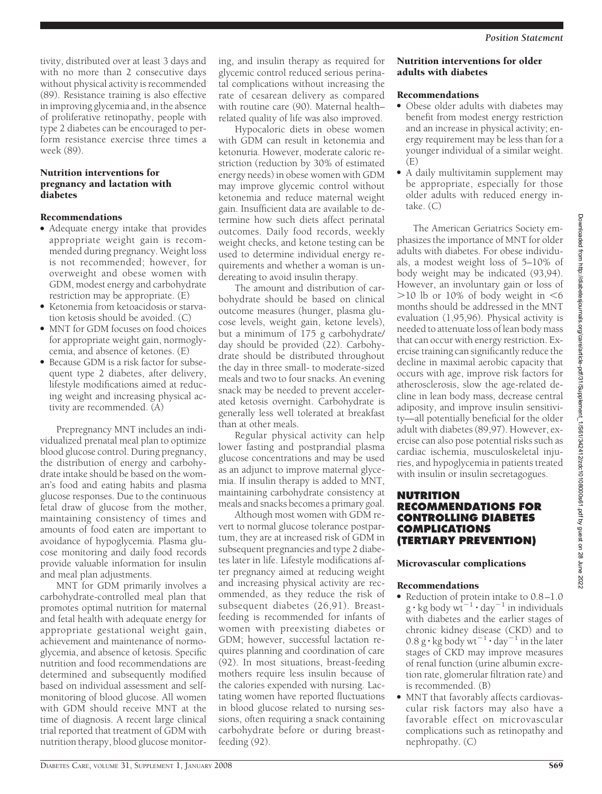tivity, distributed over at least 3 days and with no more than 2 consecutive days without physical activity is recommended (89). Resistance training is also effective in improving glycemia and, in the absence of proliferative retinopathy, people with type 2 diabetes can be encouraged to perform resistance exercise three times a week (89).

#### Nutrition interventions for pregnancy and lactation with diabetes

# Recommendations

- Adequate energy intake that provides appropriate weight gain is recommended during pregnancy. Weight loss is not recommended; however, for overweight and obese women with GDM, modest energy and carbohydrate restriction may be appropriate. (E)
- Ketonemia from ketoacidosis or starvation ketosis should be avoided. (C)
- MNT for GDM focuses on food choices for appropriate weight gain, normoglycemia, and absence of ketones. (E)
- Because GDM is a risk factor for subsequent type 2 diabetes, after delivery, lifestyle modifications aimed at reducing weight and increasing physical activity are recommended. (A)

Prepregnancy MNT includes an individualized prenatal meal plan to optimize blood glucose control. During pregnancy, the distribution of energy and carbohydrate intake should be based on the woman's food and eating habits and plasma glucose responses. Due to the continuous fetal draw of glucose from the mother, maintaining consistency of times and amounts of food eaten are important to avoidance of hypoglycemia. Plasma glucose monitoring and daily food records provide valuable information for insulin and meal plan adjustments.

MNT for GDM primarily involves a carbohydrate-controlled meal plan that promotes optimal nutrition for maternal and fetal health with adequate energy for appropriate gestational weight gain, achievement and maintenance of normoglycemia, and absence of ketosis. Specific nutrition and food recommendations are determined and subsequently modified based on individual assessment and selfmonitoring of blood glucose. All women with GDM should receive MNT at the time of diagnosis. A recent large clinical trial reported that treatment of GDM with nutrition therapy, blood glucose monitor-

ing, and insulin therapy as required for glycemic control reduced serious perinatal complications without increasing the rate of cesarean delivery as compared with routine care (90). Maternal health– related quality of life was also improved.

Hypocaloric diets in obese women with GDM can result in ketonemia and ketonuria. However, moderate caloric restriction (reduction by 30% of estimated energy needs) in obese women with GDM may improve glycemic control without ketonemia and reduce maternal weight gain. Insufficient data are available to determine how such diets affect perinatal outcomes. Daily food records, weekly weight checks, and ketone testing can be used to determine individual energy requirements and whether a woman is undereating to avoid insulin therapy.

The amount and distribution of carbohydrate should be based on clinical outcome measures (hunger, plasma glucose levels, weight gain, ketone levels), but a minimum of 175 g carbohydrate/ day should be provided (22). Carbohydrate should be distributed throughout the day in three small- to moderate-sized meals and two to four snacks. An evening snack may be needed to prevent accelerated ketosis overnight. Carbohydrate is generally less well tolerated at breakfast than at other meals.

Regular physical activity can help lower fasting and postprandial plasma glucose concentrations and may be used as an adjunct to improve maternal glycemia. If insulin therapy is added to MNT, maintaining carbohydrate consistency at meals and snacks becomes a primary goal.

Although most women with GDM revert to normal glucose tolerance postpartum, they are at increased risk of GDM in subsequent pregnancies and type 2 diabetes later in life. Lifestyle modifications after pregnancy aimed at reducing weight and increasing physical activity are recommended, as they reduce the risk of subsequent diabetes (26,91). Breastfeeding is recommended for infants of women with preexisting diabetes or GDM; however, successful lactation requires planning and coordination of care (92). In most situations, breast-feeding mothers require less insulin because of the calories expended with nursing. Lactating women have reported fluctuations in blood glucose related to nursing sessions, often requiring a snack containing carbohydrate before or during breastfeeding (92).

#### Nutrition interventions for older adults with diabetes

#### Recommendations

- Obese older adults with diabetes may benefit from modest energy restriction and an increase in physical activity; energy requirement may be less than for a younger individual of a similar weight. (E)
- A daily multivitamin supplement may be appropriate, especially for those older adults with reduced energy intake. (C)

The American Geriatrics Society emphasizes the importance of MNT for older adults with diabetes. For obese individuals, a modest weight loss of 5–10% of body weight may be indicated (93,94). However, an involuntary gain or loss of  $>$ 10 lb or 10% of body weight in  $<$ 6 months should be addressed in the MNT evaluation (1,95,96). Physical activity is needed to attenuate loss of lean body mass that can occur with energy restriction. Exercise training can significantly reduce the decline in maximal aerobic capacity that occurs with age, improve risk factors for atherosclerosis, slow the age-related decline in lean body mass, decrease central adiposity, and improve insulin sensitivity—all potentially beneficial for the older adult with diabetes (89,97). However, exercise can also pose potential risks such as cardiac ischemia, musculoskeletal injuries, and hypoglycemia in patients treated with insulin or insulin secretagogues.

#### **NUTRITION RECOMMENDATIONS FOR CONTROLLING DIABETES COMPLICATIONS (TERTIARY PREVENTION)**

#### Microvascular complications

#### Recommendations

- Reduction of protein intake to 0.8 –1.0  $g \cdot$  kg body  $wt^{-1} \cdot$  day $^{-1}$  in individuals with diabetes and the earlier stages of chronic kidney disease (CKD) and to 0.8 g  $\cdot$  kg body wt<sup>-1</sup>  $\cdot$  day<sup>-1</sup> in the later stages of CKD may improve measures of renal function (urine albumin excretion rate, glomerular filtration rate) and is recommended. (B)
- MNT that favorably affects cardiovascular risk factors may also have a favorable effect on microvascular complications such as retinopathy and nephropathy. (C)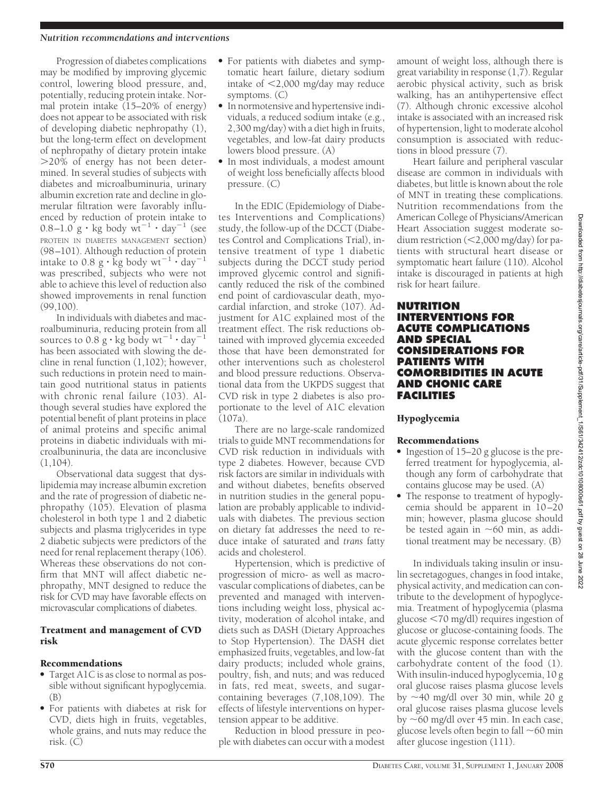Progression of diabetes complications may be modified by improving glycemic control, lowering blood pressure, and, potentially, reducing protein intake. Normal protein intake (15–20% of energy) does not appear to be associated with risk of developing diabetic nephropathy (1), but the long-term effect on development of nephropathy of dietary protein intake -20% of energy has not been determined. In several studies of subjects with diabetes and microalbuminuria, urinary albumin excretion rate and decline in glomerular filtration were favorably influenced by reduction of protein intake to  $0.8-1.0$  g  $\cdot$  kg body wt<sup>-1</sup>  $\cdot$  day<sup>-1</sup> (see PROTEIN IN DIABETES MANAGEMENT **section**) (98 –101). Although reduction of protein intake to 0.8 g  $\cdot$  kg body wt<sup>-1</sup>  $\cdot$  day<sup>-1</sup> was prescribed, subjects who were not able to achieve this level of reduction also showed improvements in renal function (99,100).

In individuals with diabetes and macroalbuminuria, reducing protein from all sources to  $0.8 \text{ g} \cdot \text{kg}$  body wt<sup>-1</sup>  $\cdot$  day<sup>-1</sup> has been associated with slowing the decline in renal function (1,102); however, such reductions in protein need to maintain good nutritional status in patients with chronic renal failure (103). Although several studies have explored the potential benefit of plant proteins in place of animal proteins and specific animal proteins in diabetic individuals with microalbuninuria, the data are inconclusive  $(1.104)$ .

Observational data suggest that dyslipidemia may increase albumin excretion and the rate of progression of diabetic nephropathy (105). Elevation of plasma cholesterol in both type 1 and 2 diabetic subjects and plasma triglycerides in type 2 diabetic subjects were predictors of the need for renal replacement therapy (106). Whereas these observations do not confirm that MNT will affect diabetic nephropathy, MNT designed to reduce the risk for CVD may have favorable effects on microvascular complications of diabetes.

#### Treatment and management of CVD risk

#### Recommendations

- Target A1C is as close to normal as possible without significant hypoglycemia. (B)
- For patients with diabetes at risk for CVD, diets high in fruits, vegetables, whole grains, and nuts may reduce the risk. (C)
- For patients with diabetes and symptomatic heart failure, dietary sodium intake of 2,000 mg/day may reduce symptoms. (C)
- In normotensive and hypertensive individuals, a reduced sodium intake (e.g., 2,300 mg/day) with a diet high in fruits, vegetables, and low-fat dairy products lowers blood pressure. (A)
- In most individuals, a modest amount of weight loss beneficially affects blood pressure. (C)

In the EDIC (Epidemiology of Diabetes Interventions and Complications) study, the follow-up of the DCCT (Diabetes Control and Complications Trial), intensive treatment of type 1 diabetic subjects during the DCCT study period improved glycemic control and significantly reduced the risk of the combined end point of cardiovascular death, myocardial infarction, and stroke (107). Adjustment for A1C explained most of the treatment effect. The risk reductions obtained with improved glycemia exceeded those that have been demonstrated for other interventions such as cholesterol and blood pressure reductions. Observational data from the UKPDS suggest that CVD risk in type 2 diabetes is also proportionate to the level of A1C elevation (107a).

There are no large-scale randomized trials to guide MNT recommendations for CVD risk reduction in individuals with type 2 diabetes. However, because CVD risk factors are similar in individuals with and without diabetes, benefits observed in nutrition studies in the general population are probably applicable to individuals with diabetes. The previous section on dietary fat addresses the need to reduce intake of saturated and *trans* fatty acids and cholesterol.

Hypertension, which is predictive of progression of micro- as well as macrovascular complications of diabetes, can be prevented and managed with interventions including weight loss, physical activity, moderation of alcohol intake, and diets such as DASH (Dietary Approaches to Stop Hypertension). The DASH diet emphasized fruits, vegetables, and low-fat dairy products; included whole grains, poultry, fish, and nuts; and was reduced in fats, red meat, sweets, and sugarcontaining beverages (7,108,109). The effects of lifestyle interventions on hypertension appear to be additive.

Reduction in blood pressure in people with diabetes can occur with a modest amount of weight loss, although there is great variability in response  $(1,7)$ . Regular aerobic physical activity, such as brisk walking, has an antihypertensive effect (7). Although chronic excessive alcohol intake is associated with an increased risk of hypertension, light to moderate alcohol consumption is associated with reductions in blood pressure (7).

Heart failure and peripheral vascular disease are common in individuals with diabetes, but little is known about the role of MNT in treating these complications. Nutrition recommendations from the American College of Physicians/American Heart Association suggest moderate sodium restriction  $\left($  < 2,000 mg/day) for patients with structural heart disease or symptomatic heart failure (110). Alcohol intake is discouraged in patients at high risk for heart failure.

#### **NUTRITION INTERVENTIONS FOR ACUTE COMPLICATIONS AND SPECIAL CONSIDERATIONS FOR PATIENTS WITH COMORBIDITIES IN ACUTE AND CHONIC CARE FACILITIES**

#### Hypoglycemia

#### Recommendations

- Ingestion of 15–20 g glucose is the preferred treatment for hypoglycemia, although any form of carbohydrate that contains glucose may be used. (A)
- The response to treatment of hypoglycemia should be apparent in  $10-20$ min; however, plasma glucose should be tested again in  $\sim 60$  min, as additional treatment may be necessary. (B)

In individuals taking insulin or insulin secretagogues, changes in food intake, physical activity, and medication can contribute to the development of hypoglycemia. Treatment of hypoglycemia (plasma glucose  $\langle 70 \rangle$  mg/dl requires ingestion of glucose or glucose-containing foods. The acute glycemic response correlates better with the glucose content than with the carbohydrate content of the food (1). With insulin-induced hypoglycemia, 10 g oral glucose raises plasma glucose levels by  $\sim$ 40 mg/dl over 30 min, while 20 g oral glucose raises plasma glucose levels by  $\sim$  60 mg/dl over 45 min. In each case, glucose levels often begin to fall  $\sim$  60 min after glucose ingestion (111).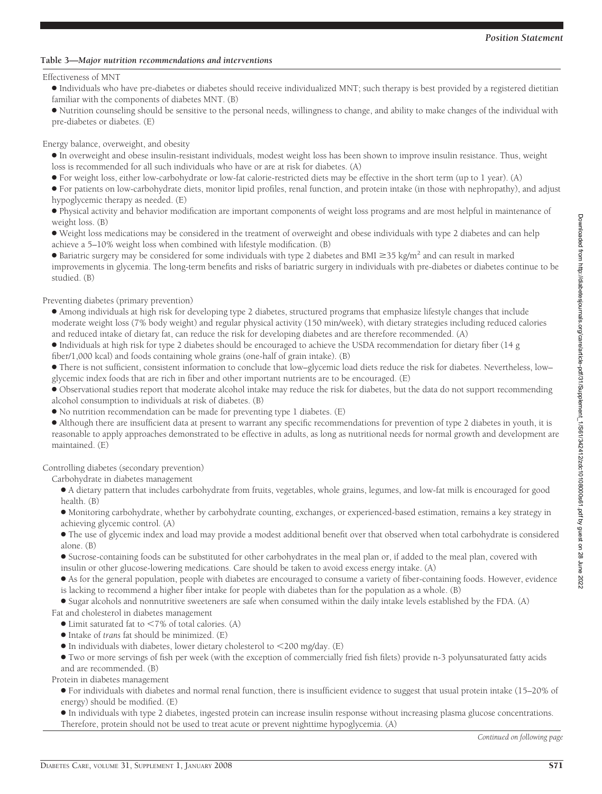#### **Table 3—***Major nutrition recommendations and interventions*

Effectiveness of MNT

● Individuals who have pre-diabetes or diabetes should receive individualized MNT; such therapy is best provided by a registered dietitian familiar with the components of diabetes MNT. (B)

● Nutrition counseling should be sensitive to the personal needs, willingness to change, and ability to make changes of the individual with pre-diabetes or diabetes. (E)

#### Energy balance, overweight, and obesity

● In overweight and obese insulin-resistant individuals, modest weight loss has been shown to improve insulin resistance. Thus, weight loss is recommended for all such individuals who have or are at risk for diabetes. (A)

● For weight loss, either low-carbohydrate or low-fat calorie-restricted diets may be effective in the short term (up to 1 year). (A)

● For patients on low-carbohydrate diets, monitor lipid profiles, renal function, and protein intake (in those with nephropathy), and adjust hypoglycemic therapy as needed. (E)

● Physical activity and behavior modification are important components of weight loss programs and are most helpful in maintenance of weight loss. (B)

● Weight loss medications may be considered in the treatment of overweight and obese individuals with type 2 diabetes and can help achieve a 5–10% weight loss when combined with lifestyle modification. (B)

• Bariatric surgery may be considered for some individuals with type 2 diabetes and BMI  $\geq$ 35 kg/m<sup>2</sup> and can result in marked improvements in glycemia. The long-term benefits and risks of bariatric surgery in individuals with pre-diabetes or diabetes continue to be studied. (B)

#### Preventing diabetes (primary prevention)

● Among individuals at high risk for developing type 2 diabetes, structured programs that emphasize lifestyle changes that include moderate weight loss (7% body weight) and regular physical activity (150 min/week), with dietary strategies including reduced calories and reduced intake of dietary fat, can reduce the risk for developing diabetes and are therefore recommended. (A)

● Individuals at high risk for type 2 diabetes should be encouraged to achieve the USDA recommendation for dietary fiber (14 g fiber/1,000 kcal) and foods containing whole grains (one-half of grain intake). (B)

● There is not sufficient, consistent information to conclude that low–glycemic load diets reduce the risk for diabetes. Nevertheless, low– glycemic index foods that are rich in fiber and other important nutrients are to be encouraged. (E)

● Observational studies report that moderate alcohol intake may reduce the risk for diabetes, but the data do not support recommending alcohol consumption to individuals at risk of diabetes. (B)

● No nutrition recommendation can be made for preventing type 1 diabetes. (E)

● Although there are insufficient data at present to warrant any specific recommendations for prevention of type 2 diabetes in youth, it is reasonable to apply approaches demonstrated to be effective in adults, as long as nutritional needs for normal growth and development are maintained. (E)

Controlling diabetes (secondary prevention)

Carbohydrate in diabetes management

● A dietary pattern that includes carbohydrate from fruits, vegetables, whole grains, legumes, and low-fat milk is encouraged for good health. (B)

● Monitoring carbohydrate, whether by carbohydrate counting, exchanges, or experienced-based estimation, remains a key strategy in achieving glycemic control. (A)

● The use of glycemic index and load may provide a modest additional benefit over that observed when total carbohydrate is considered alone. (B)

● Sucrose-containing foods can be substituted for other carbohydrates in the meal plan or, if added to the meal plan, covered with insulin or other glucose-lowering medications. Care should be taken to avoid excess energy intake. (A)

● As for the general population, people with diabetes are encouraged to consume a variety of fiber-containing foods. However, evidence is lacking to recommend a higher fiber intake for people with diabetes than for the population as a whole. (B)

● Sugar alcohols and nonnutritive sweeteners are safe when consumed within the daily intake levels established by the FDA. (A) Fat and cholesterol in diabetes management

 $\bullet$  Limit saturated fat to  $\leq 7\%$  of total calories. (A)

- Intake of *trans* fat should be minimized. (E)
- $\bullet$  In individuals with diabetes, lower dietary cholesterol to  $\leq$ 200 mg/day. (E)

● Two or more servings of fish per week (with the exception of commercially fried fish filets) provide n-3 polyunsaturated fatty acids and are recommended. (B)

Protein in diabetes management

● For individuals with diabetes and normal renal function, there is insufficient evidence to suggest that usual protein intake (15–20% of energy) should be modified. (E)

● In individuals with type 2 diabetes, ingested protein can increase insulin response without increasing plasma glucose concentrations. Therefore, protein should not be used to treat acute or prevent nighttime hypoglycemia. (A)

*Continued on following page*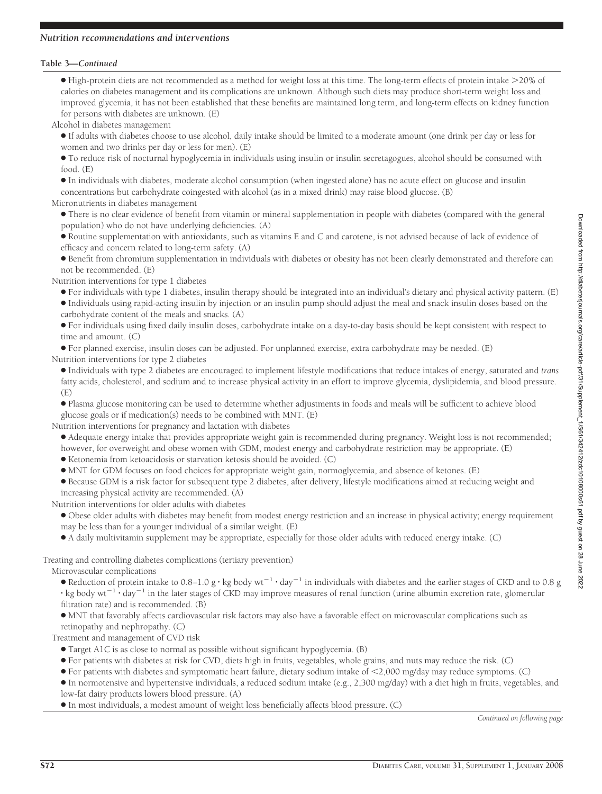#### **Table 3—***Continued*

● High-protein diets are not recommended as a method for weight loss at this time. The long-term effects of protein intake -20% of calories on diabetes management and its complications are unknown. Although such diets may produce short-term weight loss and improved glycemia, it has not been established that these benefits are maintained long term, and long-term effects on kidney function for persons with diabetes are unknown. (E)

Alcohol in diabetes management

● If adults with diabetes choose to use alcohol, daily intake should be limited to a moderate amount (one drink per day or less for women and two drinks per day or less for men). (E)

● To reduce risk of nocturnal hypoglycemia in individuals using insulin or insulin secretagogues, alcohol should be consumed with food. (E)

● In individuals with diabetes, moderate alcohol consumption (when ingested alone) has no acute effect on glucose and insulin concentrations but carbohydrate coingested with alcohol (as in a mixed drink) may raise blood glucose. (B)

Micronutrients in diabetes management

● There is no clear evidence of benefit from vitamin or mineral supplementation in people with diabetes (compared with the general population) who do not have underlying deficiencies. (A)

● Routine supplementation with antioxidants, such as vitamins E and C and carotene, is not advised because of lack of evidence of efficacy and concern related to long-term safety. (A)

● Benefit from chromium supplementation in individuals with diabetes or obesity has not been clearly demonstrated and therefore can not be recommended. (E)

Nutrition interventions for type 1 diabetes

● For individuals with type 1 diabetes, insulin therapy should be integrated into an individual's dietary and physical activity pattern. (E) ● Individuals using rapid-acting insulin by injection or an insulin pump should adjust the meal and snack insulin doses based on the carbohydrate content of the meals and snacks. (A)

● For individuals using fixed daily insulin doses, carbohydrate intake on a day-to-day basis should be kept consistent with respect to time and amount. (C)

● For planned exercise, insulin doses can be adjusted. For unplanned exercise, extra carbohydrate may be needed. (E) Nutrition interventions for type 2 diabetes

● Individuals with type 2 diabetes are encouraged to implement lifestyle modifications that reduce intakes of energy, saturated and *trans* fatty acids, cholesterol, and sodium and to increase physical activity in an effort to improve glycemia, dyslipidemia, and blood pressure.  $(F)$ 

● Plasma glucose monitoring can be used to determine whether adjustments in foods and meals will be sufficient to achieve blood glucose goals or if medication(s) needs to be combined with MNT. (E)

Nutrition interventions for pregnancy and lactation with diabetes

● Adequate energy intake that provides appropriate weight gain is recommended during pregnancy. Weight loss is not recommended; however, for overweight and obese women with GDM, modest energy and carbohydrate restriction may be appropriate. (E)

● Ketonemia from ketoacidosis or starvation ketosis should be avoided. (C)

● MNT for GDM focuses on food choices for appropriate weight gain, normoglycemia, and absence of ketones. (E)

● Because GDM is a risk factor for subsequent type 2 diabetes, after delivery, lifestyle modifications aimed at reducing weight and increasing physical activity are recommended. (A)

Nutrition interventions for older adults with diabetes

● Obese older adults with diabetes may benefit from modest energy restriction and an increase in physical activity; energy requirement may be less than for a younger individual of a similar weight. (E)

● A daily multivitamin supplement may be appropriate, especially for those older adults with reduced energy intake. (C)

Treating and controlling diabetes complications (tertiary prevention)

Microvascular complications

Reduction of protein intake to 0.8–1.0 g  $\cdot$  kg body wt<sup>-1</sup>  $\cdot$  day<sup>-1</sup> in individuals with diabetes and the earlier stages of CKD and to 0.8 g  $\cdot$  kg body wt<sup>-1</sup>  $\cdot$  day<sup>-1</sup> in the later stages of CKD may improve measures of renal function (urine albumin excretion rate, glomerular filtration rate) and is recommended. (B)

● MNT that favorably affects cardiovascular risk factors may also have a favorable effect on microvascular complications such as retinopathy and nephropathy. (C)

Treatment and management of CVD risk

● Target A1C is as close to normal as possible without significant hypoglycemia. (B)

● For patients with diabetes at risk for CVD, diets high in fruits, vegetables, whole grains, and nuts may reduce the risk. (C)

● For patients with diabetes and symptomatic heart failure, dietary sodium intake of 2,000 mg/day may reduce symptoms. (C)

● In normotensive and hypertensive individuals, a reduced sodium intake (e.g., 2,300 mg/day) with a diet high in fruits, vegetables, and low-fat dairy products lowers blood pressure. (A)

● In most individuals, a modest amount of weight loss beneficially affects blood pressure. (C)

*Continued on following page*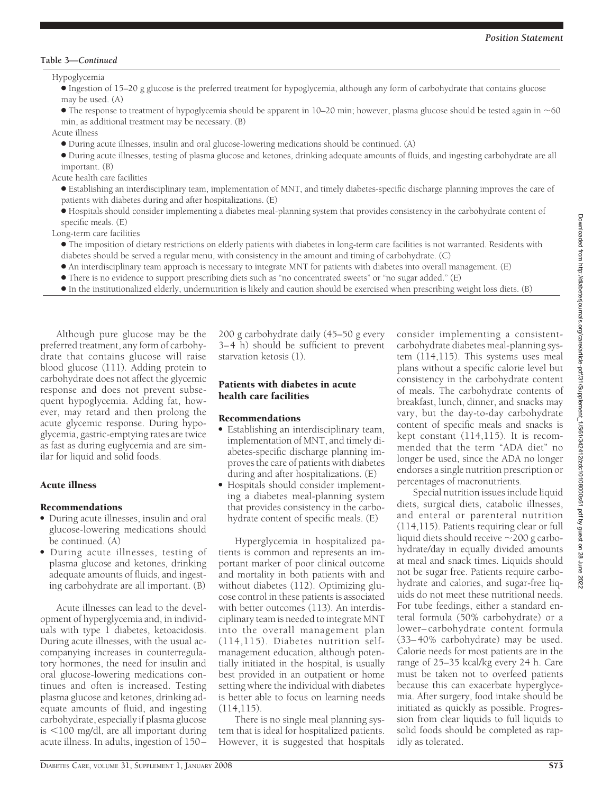#### **Table 3—***Continued*

Hypoglycemia

● Ingestion of 15–20 g glucose is the preferred treatment for hypoglycemia, although any form of carbohydrate that contains glucose may be used. (A)

• The response to treatment of hypoglycemia should be apparent in 10–20 min; however, plasma glucose should be tested again in  $\sim$ 60 min, as additional treatment may be necessary. (B)

Acute illness

● During acute illnesses, insulin and oral glucose-lowering medications should be continued. (A)

● During acute illnesses, testing of plasma glucose and ketones, drinking adequate amounts of fluids, and ingesting carbohydrate are all important. (B)

Acute health care facilities

● Establishing an interdisciplinary team, implementation of MNT, and timely diabetes-specific discharge planning improves the care of patients with diabetes during and after hospitalizations. (E)

● Hospitals should consider implementing a diabetes meal-planning system that provides consistency in the carbohydrate content of specific meals. (E)

Long-term care facilities

● The imposition of dietary restrictions on elderly patients with diabetes in long-term care facilities is not warranted. Residents with diabetes should be served a regular menu, with consistency in the amount and timing of carbohydrate. (C)

● An interdisciplinary team approach is necessary to integrate MNT for patients with diabetes into overall management. (E)

● There is no evidence to support prescribing diets such as "no concentrated sweets" or "no sugar added." (E)

● In the institutionalized elderly, undernutrition is likely and caution should be exercised when prescribing weight loss diets. (B)

Although pure glucose may be the preferred treatment, any form of carbohydrate that contains glucose will raise blood glucose (111). Adding protein to carbohydrate does not affect the glycemic response and does not prevent subsequent hypoglycemia. Adding fat, however, may retard and then prolong the acute glycemic response. During hypoglycemia, gastric-emptying rates are twice as fast as during euglycemia and are similar for liquid and solid foods.

#### Acute illness

#### Recommendations

- During acute illnesses, insulin and oral glucose-lowering medications should be continued. (A)
- During acute illnesses, testing of plasma glucose and ketones, drinking adequate amounts of fluids, and ingesting carbohydrate are all important. (B)

Acute illnesses can lead to the development of hyperglycemia and, in individuals with type 1 diabetes, ketoacidosis. During acute illnesses, with the usual accompanying increases in counterregulatory hormones, the need for insulin and oral glucose-lowering medications continues and often is increased. Testing plasma glucose and ketones, drinking adequate amounts of fluid, and ingesting carbohydrate, especially if plasma glucose is  $100$  mg/dl, are all important during acute illness. In adults, ingestion of 150 –

200 g carbohydrate daily (45–50 g every 3– 4 h) should be sufficient to prevent starvation ketosis (1).

#### Patients with diabetes in acute health care facilities

#### Recommendations

- Establishing an interdisciplinary team, implementation of MNT, and timely diabetes-specific discharge planning improves the care of patients with diabetes during and after hospitalizations. (E)
- Hospitals should consider implementing a diabetes meal-planning system that provides consistency in the carbohydrate content of specific meals. (E)

Hyperglycemia in hospitalized patients is common and represents an important marker of poor clinical outcome and mortality in both patients with and without diabetes (112). Optimizing glucose control in these patients is associated with better outcomes (113). An interdisciplinary team is needed to integrate MNT into the overall management plan (114,115). Diabetes nutrition selfmanagement education, although potentially initiated in the hospital, is usually best provided in an outpatient or home setting where the individual with diabetes is better able to focus on learning needs (114,115).

There is no single meal planning system that is ideal for hospitalized patients. However, it is suggested that hospitals consider implementing a consistentcarbohydrate diabetes meal-planning system (114,115). This systems uses meal plans without a specific calorie level but consistency in the carbohydrate content of meals. The carbohydrate contents of breakfast, lunch, dinner, and snacks may vary, but the day-to-day carbohydrate content of specific meals and snacks is kept constant (114,115). It is recommended that the term "ADA diet" no longer be used, since the ADA no longer endorses a single nutrition prescription or percentages of macronutrients.

Special nutrition issues include liquid diets, surgical diets, catabolic illnesses, and enteral or parenteral nutrition (114,115). Patients requiring clear or full liquid diets should receive  $\sim$  200 g carbohydrate/day in equally divided amounts at meal and snack times. Liquids should not be sugar free. Patients require carbohydrate and calories, and sugar-free liquids do not meet these nutritional needs. For tube feedings, either a standard enteral formula (50% carbohydrate) or a lower– carbohydrate content formula (33– 40% carbohydrate) may be used. Calorie needs for most patients are in the range of 25–35 kcal/kg every 24 h. Care must be taken not to overfeed patients because this can exacerbate hyperglycemia. After surgery, food intake should be initiated as quickly as possible. Progression from clear liquids to full liquids to solid foods should be completed as rapidly as tolerated.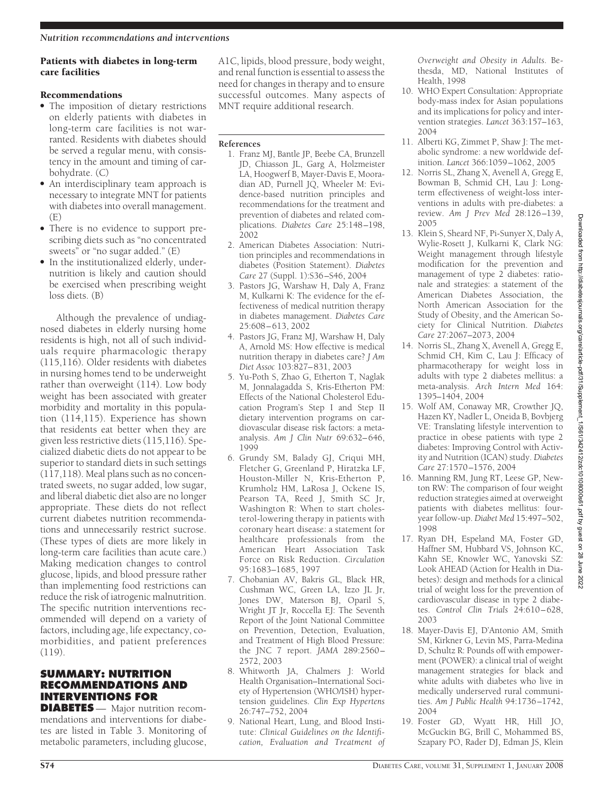#### Patients with diabetes in long-term care facilities

#### Recommendations

- The imposition of dietary restrictions on elderly patients with diabetes in long-term care facilities is not warranted. Residents with diabetes should be served a regular menu, with consistency in the amount and timing of carbohydrate. (C)
- An interdisciplinary team approach is necessary to integrate MNT for patients with diabetes into overall management.  $(E)$
- There is no evidence to support prescribing diets such as "no concentrated sweets" or "no sugar added." (E)
- In the institutionalized elderly, undernutrition is likely and caution should be exercised when prescribing weight loss diets. (B)

Although the prevalence of undiagnosed diabetes in elderly nursing home residents is high, not all of such individuals require pharmacologic therapy (115,116). Older residents with diabetes in nursing homes tend to be underweight rather than overweight (114). Low body weight has been associated with greater morbidity and mortality in this population (114,115). Experience has shown that residents eat better when they are given less restrictive diets (115,116). Specialized diabetic diets do not appear to be superior to standard diets in such settings (117,118). Meal plans such as no concentrated sweets, no sugar added, low sugar, and liberal diabetic diet also are no longer appropriate. These diets do not reflect current diabetes nutrition recommendations and unnecessarily restrict sucrose. (These types of diets are more likely in long-term care facilities than acute care.) Making medication changes to control glucose, lipids, and blood pressure rather than implementing food restrictions can reduce the risk of iatrogenic malnutrition. The specific nutrition interventions recommended will depend on a variety of factors, including age, life expectancy, comorbidities, and patient preferences (119).

### **SUMMARY: NUTRITION RECOMMENDATIONS AND INTERVENTIONS FOR**

**DIABETES** — Major nutrition recommendations and interventions for diabetes are listed in Table 3. Monitoring of metabolic parameters, including glucose, A1C, lipids, blood pressure, body weight, and renal function is essential to assess the need for changes in therapy and to ensure successful outcomes. Many aspects of MNT require additional research.

#### **References**

- 1. Franz MJ, Bantle JP, Beebe CA, Brunzell JD, Chiasson JL, Garg A, Holzmeister LA, Hoogwerf B, Mayer-Davis E, Mooradian AD, Purnell JQ, Wheeler M: Evidence-based nutrition principles and recommendations for the treatment and prevention of diabetes and related complications. *Diabetes Care* 25:148 –198, 2002
- 2. American Diabetes Association: Nutrition principles and recommendations in diabetes (Position Statement). *Diabetes Care* 27 (Suppl. 1):S36 –S46, 2004
- 3. Pastors JG, Warshaw H, Daly A, Franz M, Kulkarni K: The evidence for the effectiveness of medical nutrition therapy in diabetes management. *Diabetes Care* 25:608 – 613, 2002
- 4. Pastors JG, Franz MJ, Warshaw H, Daly A, Arnold MS: How effective is medical nutrition therapy in diabetes care? *J Am Diet Assoc* 103:827– 831, 2003
- 5. Yu-Poth S, Zhao G, Etherton T, Naglak M, Jonnalagadda S, Kris-Etherton PM: Effects of the National Cholesterol Education Program's Step I and Step II dietary intervention programs on cardiovascular disease risk factors: a metaanalysis. *Am J Clin Nutr* 69:632– 646, 1999
- 6. Grundy SM, Balady GJ, Criqui MH, Fletcher G, Greenland P, Hiratzka LF, Houston-Miller N, Kris-Etherton P, Krumholz HM, LaRosa J, Ockene IS, Pearson TA, Reed J, Smith SC Jr, Washington R: When to start cholesterol-lowering therapy in patients with coronary heart disease: a statement for healthcare professionals from the American Heart Association Task Force on Risk Reduction. *Circulation* 95:1683–1685, 1997
- 7. Chobanian AV, Bakris GL, Black HR, Cushman WC, Green LA, Izzo JL Jr, Jones DW, Materson BJ, Oparil S, Wright JT Jr, Roccella EJ: The Seventh Report of the Joint National Committee on Prevention, Detection, Evaluation, and Treatment of High Blood Pressure: the JNC 7 report. *JAMA* 289:2560 – 2572, 2003
- 8. Whitworth JA, Chalmers J: World Health Organisation–International Society of Hypertension (WHO/ISH) hypertension guidelines. *Clin Exp Hypertens* 26:747–752, 2004
- 9. National Heart, Lung, and Blood Institute: *Clinical Guidelines on the Identification, Evaluation and Treatment of*

*Overweight and Obesity in Adults.* Bethesda, MD, National Institutes of Health, 1998

- 10. WHO Expert Consultation: Appropriate body-mass index for Asian populations and its implications for policy and intervention strategies. *Lancet* 363:157–163, 2004
- 11. Alberti KG, Zimmet P, Shaw J: The metabolic syndrome: a new worldwide definition. *Lancet* 366:1059 –1062, 2005
- 12. Norris SL, Zhang X, Avenell A, Gregg E, Bowman B, Schmid CH, Lau J: Longterm effectiveness of weight-loss interventions in adults with pre-diabetes: a review. *Am J Prev Med* 28:126 –139, 2005
- 13. Klein S, Sheard NF, Pi-Sunyer X, Daly A, Wylie-Rosett J, Kulkarni K, Clark NG: Weight management through lifestyle modification for the prevention and management of type 2 diabetes: rationale and strategies: a statement of the American Diabetes Association, the North American Association for the Study of Obesity, and the American Society for Clinical Nutrition. *Diabetes Care* 27:2067–2073, 2004
- 14. Norris SL, Zhang X, Avenell A, Gregg E, Schmid CH, Kim C, Lau J: Efficacy of pharmacotherapy for weight loss in adults with type 2 diabetes mellitus: a meta-analysis. *Arch Intern Med* 164: 1395–1404, 2004
- 15. Wolf AM, Conaway MR, Crowther JQ, Hazen KY, Nadler L, Oneida B, Bovbjerg VE: Translating lifestyle intervention to practice in obese patients with type 2 diabetes: Improving Control with Activity and Nutrition (ICAN) study. *Diabetes Care* 27:1570 –1576, 2004
- 16. Manning RM, Jung RT, Leese GP, Newton RW: The comparison of four weight reduction strategies aimed at overweight patients with diabetes mellitus: fouryear follow-up. *Diabet Med* 15:497–502, 1998
- 17. Ryan DH, Espeland MA, Foster GD, Haffner SM, Hubbard VS, Johnson KC, Kahn SE, Knowler WC, Yanovski SZ: Look AHEAD (Action for Health in Diabetes): design and methods for a clinical trial of weight loss for the prevention of cardiovascular disease in type 2 diabetes. *Control Clin Trials* 24:610 – 628, 2003
- 18. Mayer-Davis EJ, D'Antonio AM, Smith SM, Kirkner G, Levin MS, Parra-Medina D, Schultz R: Pounds off with empowerment (POWER): a clinical trial of weight management strategies for black and white adults with diabetes who live in medically underserved rural communities. *Am J Public Health* 94:1736 –1742, 2004
- 19. Foster GD, Wyatt HR, Hill JO, McGuckin BG, Brill C, Mohammed BS, Szapary PO, Rader DJ, Edman JS, Klein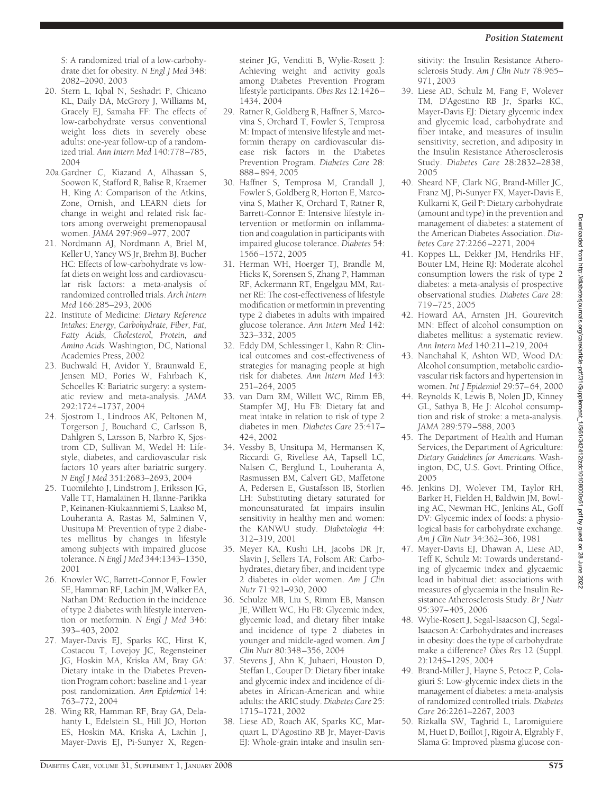S: A randomized trial of a low-carbohydrate diet for obesity. *N Engl J Med* 348: 2082–2090, 2003

- 20. Stern L, Iqbal N, Seshadri P, Chicano KL, Daily DA, McGrory J, Williams M, Gracely EJ, Samaha FF: The effects of low-carbohydrate versus conventional weight loss diets in severely obese adults: one-year follow-up of a randomized trial. *Ann Intern Med* 140:778 –785, 2004
- 20a.Gardner C, Kiazand A, Alhassan S, Soowon K, Stafford R, Balise R, Kraemer H, King A: Comparison of the Atkins, Zone, Ornish, and LEARN diets for change in weight and related risk factors among overweight premenopausal women. *JAMA* 297:969 –977, 2007
- 21. Nordmann AJ, Nordmann A, Briel M, Keller U, Yancy WS Jr, Brehm BJ, Bucher HC: Effects of low-carbohydrate vs lowfat diets on weight loss and cardiovascular risk factors: a meta-analysis of randomized controlled trials. *Arch Intern Med* 166:285–293, 2006
- 22. Institute of Medicine: *Dietary Reference Intakes: Energy, Carbohydrate, Fiber, Fat, Fatty Acids, Cholesterol, Protein, and Amino Acids.* Washington, DC, National Academies Press, 2002
- 23. Buchwald H, Avidor Y, Braunwald E, Jensen MD, Pories W, Fahrbach K, Schoelles K: Bariatric surgery: a systematic review and meta-analysis. *JAMA* 292:1724 –1737, 2004
- 24. Sjostrom L, Lindroos AK, Peltonen M, Torgerson J, Bouchard C, Carlsson B, Dahlgren S, Larsson B, Narbro K, Sjostrom CD, Sullivan M, Wedel H: Lifestyle, diabetes, and cardiovascular risk factors 10 years after bariatric surgery. *N Engl J Med* 351:2683–2693, 2004
- 25. Tuomilehto J, Lindstrom J, Eriksson JG, Valle TT, Hamalainen H, Ilanne-Parikka P, Keinanen-Kiukaanniemi S, Laakso M, Louheranta A, Rastas M, Salminen V, Uusitupa M: Prevention of type 2 diabetes mellitus by changes in lifestyle among subjects with impaired glucose tolerance. *N Engl J Med* 344:1343–1350, 2001
- 26. Knowler WC, Barrett-Connor E, Fowler SE, Hamman RF, Lachin JM, Walker EA, Nathan DM: Reduction in the incidence of type 2 diabetes with lifestyle intervention or metformin. *N Engl J Med* 346: 393– 403, 2002
- 27. Mayer-Davis EJ, Sparks KC, Hirst K, Costacou T, Lovejoy JC, Regensteiner JG, Hoskin MA, Kriska AM, Bray GA: Dietary intake in the Diabetes Prevention Program cohort: baseline and 1-year post randomization. *Ann Epidemiol* 14: 763–772, 2004
- 28. Wing RR, Hamman RF, Bray GA, Delahanty L, Edelstein SL, Hill JO, Horton ES, Hoskin MA, Kriska A, Lachin J, Mayer-Davis EJ, Pi-Sunyer X, Regen-

steiner JG, Venditti B, Wylie-Rosett J: Achieving weight and activity goals among Diabetes Prevention Program lifestyle participants. *Obes Res* 12:1426 – 1434, 2004

- 29. Ratner R, Goldberg R, Haffner S, Marcovina S, Orchard T, Fowler S, Temprosa M: Impact of intensive lifestyle and metformin therapy on cardiovascular disease risk factors in the Diabetes Prevention Program. *Diabetes Care* 28: 888 – 894, 2005
- 30. Haffner S, Temprosa M, Crandall J, Fowler S, Goldberg R, Horton E, Marcovina S, Mather K, Orchard T, Ratner R, Barrett-Connor E: Intensive lifestyle intervention or metformin on inflammation and coagulation in participants with impaired glucose tolerance. *Diabetes* 54: 1566 –1572, 2005
- 31. Herman WH, Hoerger TJ, Brandle M, Hicks K, Sorensen S, Zhang P, Hamman RF, Ackermann RT, Engelgau MM, Ratner RE: The cost-effectiveness of lifestyle modification or metformin in preventing type 2 diabetes in adults with impaired glucose tolerance. *Ann Intern Med* 142: 323–332, 2005
- 32. Eddy DM, Schlessinger L, Kahn R: Clinical outcomes and cost-effectiveness of strategies for managing people at high risk for diabetes. *Ann Intern Med* 143: 251–264, 2005
- 33. van Dam RM, Willett WC, Rimm EB, Stampfer MJ, Hu FB: Dietary fat and meat intake in relation to risk of type 2 diabetes in men. *Diabetes Care* 25:417– 424, 2002
- 34. Vessby B, Unsitupa M, Hermansen K, Riccardi G, Rivellese AA, Tapsell LC, Nalsen C, Berglund L, Louheranta A, Rasmussen BM, Calvert GD, Maffetone A, Pedersen E, Gustafsson IB, Storlien LH: Substituting dietary saturated for monounsaturated fat impairs insulin sensitivity in healthy men and women: the KANWU study. *Diabetologia* 44: 312–319, 2001
- 35. Meyer KA, Kushi LH, Jacobs DR Jr, Slavin J, Sellers TA, Folsom AR: Carbohydrates, dietary fiber, and incident type 2 diabetes in older women. *Am J Clin Nutr* 71:921–930, 2000
- 36. Schulze MB, Liu S, Rimm EB, Manson JE, Willett WC, Hu FB: Glycemic index, glycemic load, and dietary fiber intake and incidence of type 2 diabetes in younger and middle-aged women. *Am J Clin Nutr* 80:348 –356, 2004
- 37. Stevens J, Ahn K, Juhaeri, Houston D, Steffan L, Couper D: Dietary fiber intake and glycemic index and incidence of diabetes in African-American and white adults: the ARIC study.*Diabetes Care* 25: 1715–1721, 2002
- 38. Liese AD, Roach AK, Sparks KC, Marquart L, D'Agostino RB Jr, Mayer-Davis EJ: Whole-grain intake and insulin sen-

sitivity: the Insulin Resistance Atherosclerosis Study. *Am J Clin Nutr* 78:965– 971, 2003

- 39. Liese AD, Schulz M, Fang F, Wolever TM, D'Agostino RB Jr, Sparks KC, Mayer-Davis EJ: Dietary glycemic index and glycemic load, carbohydrate and fiber intake, and measures of insulin sensitivity, secretion, and adiposity in the Insulin Resistance Atherosclerosis Study. *Diabetes Care* 28:2832–2838, 2005
- 40. Sheard NF, Clark NG, Brand-Miller JC, Franz MJ, Pi-Sunyer FX, Mayer-Davis E, Kulkarni K, Geil P: Dietary carbohydrate (amount and type) in the prevention and management of diabetes: a statement of the American Diabetes Association. *Diabetes Care* 27:2266 –2271, 2004
- 41. Koppes LL, Dekker JM, Hendriks HF, Bouter LM, Heine RJ: Moderate alcohol consumption lowers the risk of type 2 diabetes: a meta-analysis of prospective observational studies. *Diabetes Care* 28: 719 –725, 2005
- 42. Howard AA, Arnsten JH, Gourevitch MN: Effect of alcohol consumption on diabetes mellitus: a systematic review. *Ann Intern Med* 140:211–219, 2004
- 43. Nanchahal K, Ashton WD, Wood DA: Alcohol consumption, metabolic cardiovascular risk factors and hypertension in women. *Int J Epidemiol* 29:57– 64, 2000
- 44. Reynolds K, Lewis B, Nolen JD, Kinney GL, Sathya B, He J: Alcohol consumption and risk of stroke: a meta-analysis. *JAMA* 289:579 –588, 2003
- 45. The Department of Health and Human Services, the Department of Agriculture: *Dietary Guidelines for Americans.* Washington, DC, U.S. Govt. Printing Office, 2005
- 46. Jenkins DJ, Wolever TM, Taylor RH, Barker H, Fielden H, Baldwin JM, Bowling AC, Newman HC, Jenkins AL, Goff DV: Glycemic index of foods: a physiological basis for carbohydrate exchange. *Am J Clin Nutr* 34:362–366, 1981
- 47. Mayer-Davis EJ, Dhawan A, Liese AD, Teff K, Schulz M: Towards understanding of glycaemic index and glycaemic load in habitual diet: associations with measures of glycaemia in the Insulin Resistance Atherosclerosis Study. *Br J Nutr* 95:397– 405, 2006
- 48. Wylie-Rosett J, Segal-Isaacson CJ, Segal-Isaacson A: Carbohydrates and increases in obesity: does the type of carbohydrate make a difference? *Obes Res* 12 (Suppl. 2):124S–129S, 2004
- 49. Brand-Miller J, Hayne S, Petocz P, Colagiuri S: Low-glycemic index diets in the management of diabetes: a meta-analysis of randomized controlled trials. *Diabetes Care* 26:2261–2267, 2003
- 50. Rizkalla SW, Taghrid L, Laromiguiere M, Huet D, Boillot J, Rigoir A, Elgrably F, Slama G: Improved plasma glucose con-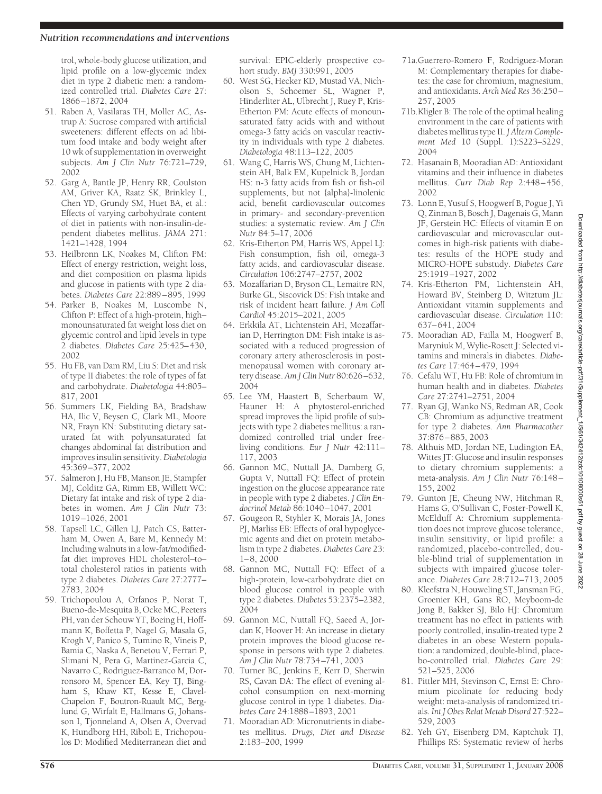trol, whole-body glucose utilization, and lipid profile on a low-glycemic index diet in type 2 diabetic men: a randomized controlled trial. *Diabetes Care* 27: 1866 –1872, 2004

- 51. Raben A, Vasilaras TH, Moller AC, Astrup A: Sucrose compared with artificial sweeteners: different effects on ad libitum food intake and body weight after 10 wk of supplementation in overweight subjects. *Am J Clin Nutr* 76:721–729, 2002
- 52. Garg A, Bantle JP, Henry RR, Coulston AM, Griver KA, Raatz SK, Brinkley L, Chen YD, Grundy SM, Huet BA, et al.: Effects of varying carbohydrate content of diet in patients with non-insulin-dependent diabetes mellitus. *JAMA* 271: 1421–1428, 1994
- 53. Heilbronn LK, Noakes M, Clifton PM: Effect of energy restriction, weight loss, and diet composition on plasma lipids and glucose in patients with type 2 diabetes. *Diabetes Care* 22:889 – 895, 1999
- 54. Parker B, Noakes M, Luscombe N, Clifton P: Effect of a high-protein, high– monounsaturated fat weight loss diet on glycemic control and lipid levels in type 2 diabetes. *Diabetes Care* 25:425– 430, 2002
- 55. Hu FB, van Dam RM, Liu S: Diet and risk of type II diabetes: the role of types of fat and carbohydrate. *Diabetologia* 44:805– 817, 2001
- 56. Summers LK, Fielding BA, Bradshaw HA, Ilic V, Beysen C, Clark ML, Moore NR, Frayn KN: Substituting dietary saturated fat with polyunsaturated fat changes abdominal fat distribution and improves insulin sensitivity.*Diabetologia* 45:369 –377, 2002
- 57. Salmeron J, Hu FB, Manson JE, Stampfer MJ, Colditz GA, Rimm EB, Willett WC: Dietary fat intake and risk of type 2 diabetes in women. *Am J Clin Nutr* 73: 1019 –1026, 2001
- 58. Tapsell LC, Gillen LJ, Patch CS, Batterham M, Owen A, Bare M, Kennedy M: Including walnuts in a low-fat/modifiedfat diet improves HDL cholesterol–to– total cholesterol ratios in patients with type 2 diabetes. *Diabetes Care* 27:2777– 2783, 2004
- 59. Trichopoulou A, Orfanos P, Norat T, Bueno-de-Mesquita B, Ocke MC, Peeters PH, van der Schouw YT, Boeing H, Hoffmann K, Boffetta P, Nagel G, Masala G, Krogh V, Panico S, Tumino R, Vineis P, Bamia C, Naska A, Benetou V, Ferrari P, Slimani N, Pera G, Martinez-Garcia C, Navarro C, Rodriguez-Barranco M, Dorronsoro M, Spencer EA, Key TJ, Bingham S, Khaw KT, Kesse E, Clavel-Chapelon F, Boutron-Ruault MC, Berglund G, Wirfalt E, Hallmans G, Johansson I, Tjonneland A, Olsen A, Overvad K, Hundborg HH, Riboli E, Trichopoulos D: Modified Mediterranean diet and

survival: EPIC-elderly prospective cohort study. *BMJ* 330:991, 2005

- 60. West SG, Hecker KD, Mustad VA, Nicholson S, Schoemer SL, Wagner P, Hinderliter AL, Ulbrecht J, Ruey P, Kris-Etherton PM: Acute effects of monounsaturated fatty acids with and without omega-3 fatty acids on vascular reactivity in individuals with type 2 diabetes. *Diabetologia* 48:113–122, 2005
- 61. Wang C, Harris WS, Chung M, Lichtenstein AH, Balk EM, Kupelnick B, Jordan HS: n-3 fatty acids from fish or fish-oil supplements, but not {alpha}-linolenic acid, benefit cardiovascular outcomes in primary- and secondary-prevention studies: a systematic review. *Am J Clin Nutr* 84:5–17, 2006
- 62. Kris-Etherton PM, Harris WS, Appel LJ: Fish consumption, fish oil, omega-3 fatty acids, and cardiovascular disease. *Circulation* 106:2747–2757, 2002
- 63. Mozaffarian D, Bryson CL, Lemaitre RN, Burke GL, Siscovick DS: Fish intake and risk of incident heart failure. *J Am Coll Cardiol* 45:2015–2021, 2005
- 64. Erkkila AT, Lichtenstein AH, Mozaffarian D, Herrington DM: Fish intake is associated with a reduced progression of coronary artery atherosclerosis in postmenopausal women with coronary artery disease. *Am J Clin Nutr* 80:626 –632, 2004
- 65. Lee YM, Haastert B, Scherbaum W, Hauner H: A phytosterol-enriched spread improves the lipid profile of subjects with type 2 diabetes mellitus: a randomized controlled trial under freeliving conditions. *Eur J Nutr* 42:111– 117, 2003
- 66. Gannon MC, Nuttall JA, Damberg G, Gupta V, Nuttall FQ: Effect of protein ingestion on the glucose appearance rate in people with type 2 diabetes. *J Clin Endocrinol Metab* 86:1040 –1047, 2001
- 67. Gougeon R, Styhler K, Morais JA, Jones PJ, Marliss EB: Effects of oral hypoglycemic agents and diet on protein metabolism in type 2 diabetes. *Diabetes Care* 23:  $1 - 8$ , 2000
- 68. Gannon MC, Nuttall FQ: Effect of a high-protein, low-carbohydrate diet on blood glucose control in people with type 2 diabetes. *Diabetes* 53:2375–2382, 2004
- 69. Gannon MC, Nuttall FQ, Saeed A, Jordan K, Hoover H: An increase in dietary protein improves the blood glucose response in persons with type 2 diabetes. *Am J Clin Nutr* 78:734 –741, 2003
- 70. Turner BC, Jenkins E, Kerr D, Sherwin RS, Cavan DA: The effect of evening alcohol consumption on next-morning glucose control in type 1 diabetes. *Diabetes Care* 24:1888 –1893, 2001
- 71. Mooradian AD: Micronutrients in diabetes mellitus. *Drugs, Diet and Disease* 2:183–200, 1999
- 71a.Guerrero-Romero F, Rodriguez-Moran M: Complementary therapies for diabetes: the case for chromium, magnesium, and antioxidants. *Arch Med Res* 36:250 – 257, 2005
- 71b.Kligler B: The role of the optimal healing environment in the care of patients with diabetes mellitus type II. *J Altern Complement Med* 10 (Suppl. 1):S223–S229, 2004
- 72. Hasanain B, Mooradian AD: Antioxidant vitamins and their influence in diabetes mellitus. *Curr Diab Rep* 2:448 – 456, 2002
- 73. Lonn E, Yusuf S, Hoogwerf B, Pogue J, Yi Q, Zinman B, Bosch J, Dagenais G, Mann JF, Gerstein HC: Effects of vitamin E on cardiovascular and microvascular outcomes in high-risk patients with diabetes: results of the HOPE study and MICRO-HOPE substudy. *Diabetes Care* 25:1919 –1927, 2002
- 74. Kris-Etherton PM, Lichtenstein AH, Howard BV, Steinberg D, Witztum JL: Antioxidant vitamin supplements and cardiovascular disease. *Circulation* 110: 637– 641, 2004
- 75. Mooradian AD, Failla M, Hoogwerf B, Maryniuk M, Wylie-Rosett J: Selected vitamins and minerals in diabetes. *Diabetes Care* 17:464 – 479, 1994
- 76. Cefalu WT, Hu FB: Role of chromium in human health and in diabetes. *Diabetes Care* 27:2741–2751, 2004
- 77. Ryan GJ, Wanko NS, Redman AR, Cook CB: Chromium as adjunctive treatment for type 2 diabetes. *Ann Pharmacother* 37:876 – 885, 2003
- 78. Althuis MD, Jordan NE, Ludington EA, Wittes JT: Glucose and insulin responses to dietary chromium supplements: a meta-analysis. *Am J Clin Nutr* 76:148 – 155, 2002
- 79. Gunton JE, Cheung NW, Hitchman R, Hams G, O'Sullivan C, Foster-Powell K, McElduff A: Chromium supplementation does not improve glucose tolerance, insulin sensitivity, or lipid profile: a randomized, placebo-controlled, double-blind trial of supplementation in subjects with impaired glucose tolerance. *Diabetes Care* 28:712–713, 2005
- 80. Kleefstra N, Houweling ST, Jansman FG, Groenier KH, Gans RO, Meyboom-de Jong B, Bakker SJ, Bilo HJ: Chromium treatment has no effect in patients with poorly controlled, insulin-treated type 2 diabetes in an obese Western population: a randomized, double-blind, placebo-controlled trial. *Diabetes Care* 29: 521–525, 2006
- 81. Pittler MH, Stevinson C, Ernst E: Chromium picolinate for reducing body weight: meta-analysis of randomized trials. *Int J Obes Relat Metab Disord* 27:522– 529, 2003
- 82. Yeh GY, Eisenberg DM, Kaptchuk TJ, Phillips RS: Systematic review of herbs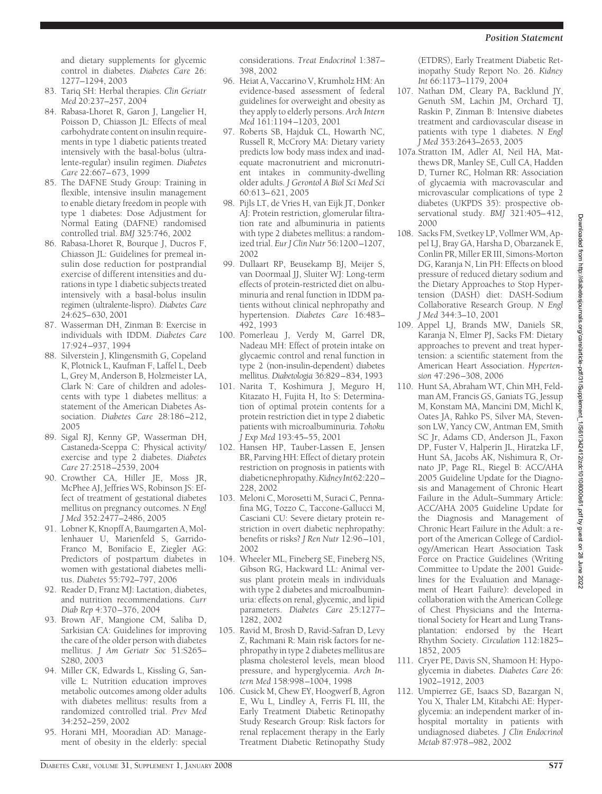and dietary supplements for glycemic control in diabetes. *Diabetes Care* 26: 1277–1294, 2003

- 83. Tariq SH: Herbal therapies. *Clin Geriatr Med* 20:237–257, 2004
- 84. Rabasa-Lhoret R, Garon J, Langelier H, Poisson D, Chiasson JL: Effects of meal carbohydrate content on insulin requirements in type 1 diabetic patients treated intensively with the basal-bolus (ultralente-regular) insulin regimen. *Diabetes Care* 22:667– 673, 1999
- 85. The DAFNE Study Group: Training in flexible, intensive insulin management to enable dietary freedom in people with type 1 diabetes: Dose Adjustment for Normal Eating (DAFNE) randomised controlled trial. *BMJ* 325:746, 2002
- 86. Rabasa-Lhoret R, Bourque J, Ducros F, Chiasson JL: Guidelines for premeal insulin dose reduction for postprandial exercise of different intensities and durations in type 1 diabetic subjects treated intensively with a basal-bolus insulin regimen (ultralente-lispro). *Diabetes Care* 24:625–630, 2001
- 87. Wasserman DH, Zinman B: Exercise in individuals with IDDM. *Diabetes Care* 17:924 –937, 1994
- 88. Silverstein J, Klingensmith G, Copeland K, Plotnick L, Kaufman F, Laffel L, Deeb L, Grey M, Anderson B, Holzmeister LA, Clark N: Care of children and adolescents with type 1 diabetes mellitus: a statement of the American Diabetes Association. *Diabetes Care* 28:186 –212, 2005
- 89. Sigal RJ, Kenny GP, Wasserman DH, Castaneda-Sceppa C: Physical activity/ exercise and type 2 diabetes. *Diabetes Care* 27:2518 –2539, 2004
- 90. Crowther CA, Hiller JE, Moss JR, McPhee AJ, Jeffries WS, Robinson JS: Effect of treatment of gestational diabetes mellitus on pregnancy outcomes. *N Engl J Med* 352:2477–2486, 2005
- 91. Lobner K, Knopff A, Baumgarten A, Mollenhauer U, Marienfeld S, Garrido-Franco M, Bonifacio E, Ziegler AG: Predictors of postpartum diabetes in women with gestational diabetes mellitus. *Diabetes* 55:792–797, 2006
- 92. Reader D, Franz MJ: Lactation, diabetes, and nutrition recommendations. *Curr Diab Rep* 4:370 –376, 2004
- 93. Brown AF, Mangione CM, Saliba D, Sarkisian CA: Guidelines for improving the care of the older person with diabetes mellitus. *J Am Geriatr Soc* 51:S265– S280, 2003
- 94. Miller CK, Edwards L, Kissling G, Sanville L: Nutrition education improves metabolic outcomes among older adults with diabetes mellitus: results from a randomized controlled trial. *Prev Med* 34:252–259, 2002
- 95. Horani MH, Mooradian AD: Management of obesity in the elderly: special

considerations. *Treat Endocrinol* 1:387– 398, 2002

- 96. Heiat A, Vaccarino V, Krumholz HM: An evidence-based assessment of federal guidelines for overweight and obesity as they apply to elderly persons. *Arch Intern Med* 161:1194 –1203, 2001
- 97. Roberts SB, Hajduk CL, Howarth NC, Russell R, McCrory MA: Dietary variety predicts low body mass index and inadequate macronutrient and micronutrient intakes in community-dwelling older adults. *J Gerontol A Biol Sci Med Sci* 60:613– 621, 2005
- 98. Pijls LT, de Vries H, van Eijk JT, Donker AJ: Protein restriction, glomerular filtration rate and albuminuria in patients with type 2 diabetes mellitus: a randomized trial. *Eur J Clin Nutr* 56:1200 –1207, 2002
- 99. Dullaart RP, Beusekamp BJ, Meijer S, van Doormaal JJ, Sluiter WJ: Long-term effects of protein-restricted diet on albuminuria and renal function in IDDM patients without clinical nephropathy and hypertension. *Diabetes Care* 16:483– 492, 1993
- 100. Pomerleau J, Verdy M, Garrel DR, Nadeau MH: Effect of protein intake on glycaemic control and renal function in type 2 (non-insulin-dependent) diabetes mellitus. *Diabetologia* 36:829 –834, 1993
- 101. Narita T, Koshimura J, Meguro H, Kitazato H, Fujita H, Ito S: Determination of optimal protein contents for a protein restriction diet in type 2 diabetic patients with microalbuminuria. *Tohoku J Exp Med* 193:45–55, 2001
- 102. Hansen HP, Tauber-Lassen E, Jensen BR, Parving HH: Effect of dietary protein restriction on prognosis in patients with diabeticnephropathy.*KidneyInt*62:220 – 228, 2002
- 103. Meloni C, Morosetti M, Suraci C, Pennafina MG, Tozzo C, Taccone-Gallucci M, Casciani CU: Severe dietary protein restriction in overt diabetic nephropathy: benefits or risks? *J Ren Nutr* 12:96 –101, 2002
- 104. Wheeler ML, Fineberg SE, Fineberg NS, Gibson RG, Hackward LL: Animal versus plant protein meals in individuals with type 2 diabetes and microalbuminuria: effects on renal, glycemic, and lipid parameters. *Diabetes Care* 25:1277– 1282, 2002
- 105. Ravid M, Brosh D, Ravid-Safran D, Levy Z, Rachmani R: Main risk factors for nephropathy in type 2 diabetes mellitus are plasma cholesterol levels, mean blood pressure, and hyperglycemia. *Arch Intern Med* 158:998 –1004, 1998
- 106. Cusick M, Chew EY, Hoogwerf B, Agron E, Wu L, Lindley A, Ferris FL III, the Early Treatment Diabetic Retinopathy Study Research Group: Risk factors for renal replacement therapy in the Early Treatment Diabetic Retinopathy Study

(ETDRS), Early Treatment Diabetic Retinopathy Study Report No. 26. *Kidney Int* 66:1173–1179, 2004

- 107. Nathan DM, Cleary PA, Backlund JY, Genuth SM, Lachin JM, Orchard TJ, Raskin P, Zinman B: Intensive diabetes treatment and cardiovascular disease in patients with type 1 diabetes. *N Engl J Med* 353:2643–2653, 2005
- 107a.Stratton IM, Adler AI, Neil HA, Matthews DR, Manley SE, Cull CA, Hadden D, Turner RC, Holman RR: Association of glycaemia with macrovascular and microvascular complications of type 2 diabetes (UKPDS 35): prospective observational study. *BMJ* 321:405– 412, 2000
- 108. Sacks FM, Svetkey LP, Vollmer WM, Appel LJ, Bray GA, Harsha D, Obarzanek E, Conlin PR, Miller ER III, Simons-Morton DG, Karanja N, Lin PH: Effects on blood pressure of reduced dietary sodium and the Dietary Approaches to Stop Hypertension (DASH) diet: DASH-Sodium Collaborative Research Group. *N Engl J Med* 344:3–10, 2001
- 109. Appel LJ, Brands MW, Daniels SR, Karanja N, Elmer PJ, Sacks FM: Dietary approaches to prevent and treat hypertension: a scientific statement from the American Heart Association. *Hypertension* 47:296 –308, 2006
- 110. Hunt SA, Abraham WT, Chin MH, Feldman AM, Francis GS, Ganiats TG, Jessup M, Konstam MA, Mancini DM, Michl K, Oates JA, Rahko PS, Silver MA, Stevenson LW, Yancy CW, Antman EM, Smith SC Jr, Adams CD, Anderson JL, Faxon DP, Fuster V, Halperin JL, Hiratzka LF, Hunt SA, Jacobs AK, Nishimura R, Ornato JP, Page RL, Riegel B: ACC/AHA 2005 Guideline Update for the Diagnosis and Management of Chronic Heart Failure in the Adult–Summary Article: ACC/AHA 2005 Guideline Update for the Diagnosis and Management of Chronic Heart Failure in the Adult: a report of the American College of Cardiology/American Heart Association Task Force on Practice Guidelines (Writing Committee to Update the 2001 Guidelines for the Evaluation and Management of Heart Failure): developed in collaboration with the American College of Chest Physicians and the International Society for Heart and Lung Transplantation: endorsed by the Heart Rhythm Society. *Circulation* 112:1825– 1852, 2005
- 111. Cryer PE, Davis SN, Shamoon H: Hypoglycemia in diabetes. *Diabetes Care* 26: 1902–1912, 2003
- 112. Umpierrez GE, Isaacs SD, Bazargan N, You X, Thaler LM, Kitabchi AE: Hyperglycemia: an independent marker of inhospital mortality in patients with undiagnosed diabetes. *J Clin Endocrinol Metab* 87:978 –982, 2002